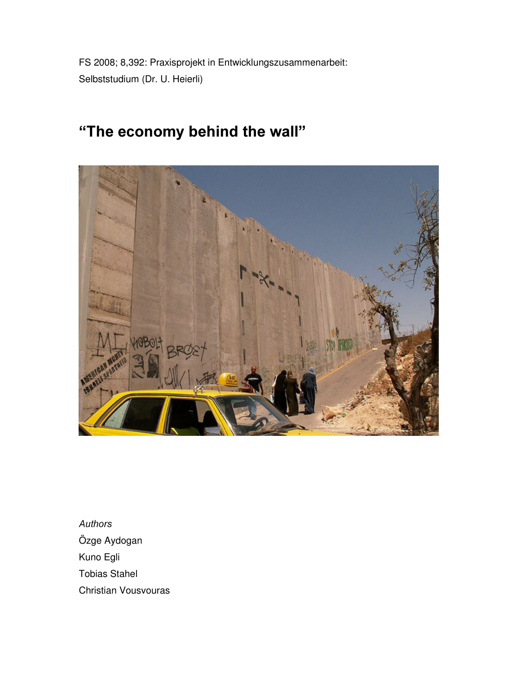FS 2008; 8,392: Praxisprojekt in Entwicklungszusammenarbeit: Selbststudium (Dr. U. Heierli)

# "The economy behind the wall"



Authors Özge Aydogan Kuno Egli Tobias Stahel Christian Vousvouras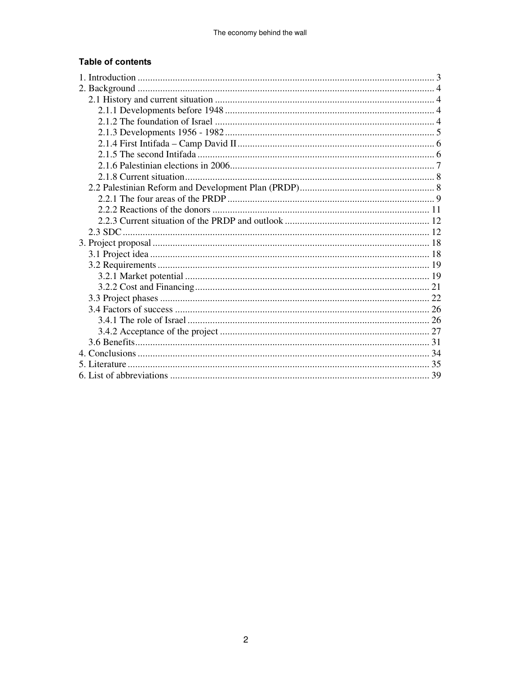## **Table of contents**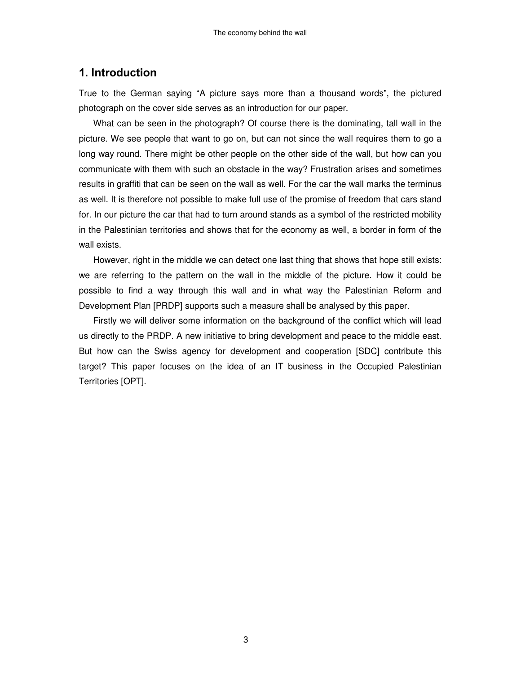## 1. Introduction

True to the German saying "A picture says more than a thousand words", the pictured photograph on the cover side serves as an introduction for our paper.

What can be seen in the photograph? Of course there is the dominating, tall wall in the picture. We see people that want to go on, but can not since the wall requires them to go a long way round. There might be other people on the other side of the wall, but how can you communicate with them with such an obstacle in the way? Frustration arises and sometimes results in graffiti that can be seen on the wall as well. For the car the wall marks the terminus as well. It is therefore not possible to make full use of the promise of freedom that cars stand for. In our picture the car that had to turn around stands as a symbol of the restricted mobility in the Palestinian territories and shows that for the economy as well, a border in form of the wall exists.

However, right in the middle we can detect one last thing that shows that hope still exists: we are referring to the pattern on the wall in the middle of the picture. How it could be possible to find a way through this wall and in what way the Palestinian Reform and Development Plan [PRDP] supports such a measure shall be analysed by this paper.

Firstly we will deliver some information on the background of the conflict which will lead us directly to the PRDP. A new initiative to bring development and peace to the middle east. But how can the Swiss agency for development and cooperation [SDC] contribute this target? This paper focuses on the idea of an IT business in the Occupied Palestinian Territories [OPT].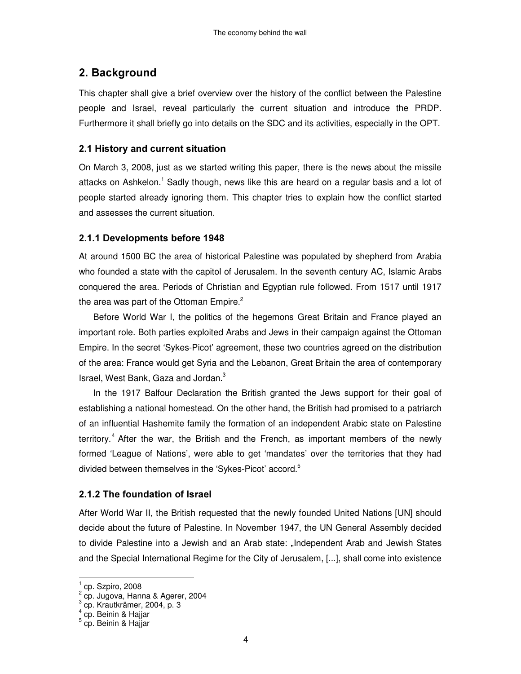## 2. Background

This chapter shall give a brief overview over the history of the conflict between the Palestine people and Israel, reveal particularly the current situation and introduce the PRDP. Furthermore it shall briefly go into details on the SDC and its activities, especially in the OPT.

#### 2.1 History and current situation

On March 3, 2008, just as we started writing this paper, there is the news about the missile attacks on Ashkelon.<sup>1</sup> Sadly though, news like this are heard on a regular basis and a lot of people started already ignoring them. This chapter tries to explain how the conflict started and assesses the current situation.

## 2.1.1 Developments before 1948

At around 1500 BC the area of historical Palestine was populated by shepherd from Arabia who founded a state with the capitol of Jerusalem. In the seventh century AC, Islamic Arabs conquered the area. Periods of Christian and Egyptian rule followed. From 1517 until 1917 the area was part of the Ottoman Empire.<sup>2</sup>

Before World War I, the politics of the hegemons Great Britain and France played an important role. Both parties exploited Arabs and Jews in their campaign against the Ottoman Empire. In the secret 'Sykes-Picot' agreement, these two countries agreed on the distribution of the area: France would get Syria and the Lebanon, Great Britain the area of contemporary Israel, West Bank, Gaza and Jordan. 3

In the 1917 Balfour Declaration the British granted the Jews support for their goal of establishing a national homestead. On the other hand, the British had promised to a patriarch of an influential Hashemite family the formation of an independent Arabic state on Palestine territory.<sup>4</sup> After the war, the British and the French, as important members of the newly formed 'League of Nations', were able to get 'mandates' over the territories that they had divided between themselves in the 'Sykes-Picot' accord. 5

## 2.1.2 The foundation of Israel

After World War II, the British requested that the newly founded United Nations [UN] should decide about the future of Palestine. In November 1947, the UN General Assembly decided to divide Palestine into a Jewish and an Arab state: "Independent Arab and Jewish States and the Special International Regime for the City of Jerusalem, [...], shall come into existence

 1 cp. Szpiro, 2008 2 cp. Jugova, Hanna & Agerer, 2004 3 cp. Krautkrämer, 2004, p. 3

<sup>4</sup> cp. Beinin & Hajjar

<sup>&</sup>lt;sup>5</sup> cp. Beinin & Hajjar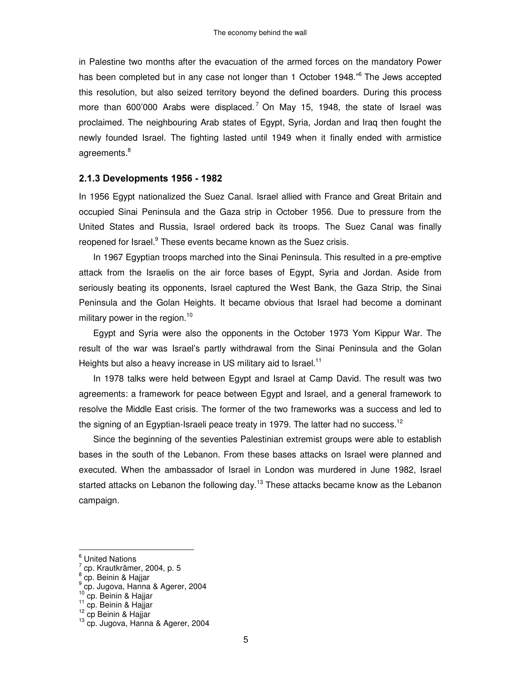in Palestine two months after the evacuation of the armed forces on the mandatory Power has been completed but in any case not longer than 1 October 1948." <sup>6</sup> The Jews accepted this resolution, but also seized territory beyond the defined boarders. During this process more than 600'000 Arabs were displaced.<sup>7</sup> On May 15, 1948, the state of Israel was proclaimed. The neighbouring Arab states of Egypt, Syria, Jordan and Iraq then fought the newly founded Israel. The fighting lasted until 1949 when it finally ended with armistice agreements.<sup>8</sup>

#### 2.1.3 Developments 1956 - 1982

In 1956 Egypt nationalized the Suez Canal. Israel allied with France and Great Britain and occupied Sinai Peninsula and the Gaza strip in October 1956. Due to pressure from the United States and Russia, Israel ordered back its troops. The Suez Canal was finally reopened for Israel.<sup>9</sup> These events became known as the Suez crisis.

In 1967 Egyptian troops marched into the Sinai Peninsula. This resulted in a pre-emptive attack from the Israelis on the air force bases of Egypt, Syria and Jordan. Aside from seriously beating its opponents, Israel captured the West Bank, the Gaza Strip, the Sinai Peninsula and the Golan Heights. It became obvious that Israel had become a dominant military power in the region. 10

Egypt and Syria were also the opponents in the October 1973 Yom Kippur War. The result of the war was Israel's partly withdrawal from the Sinai Peninsula and the Golan Heights but also a heavy increase in US military aid to Israel.<sup>11</sup>

In 1978 talks were held between Egypt and Israel at Camp David. The result was two agreements: a framework for peace between Egypt and Israel, and a general framework to resolve the Middle East crisis. The former of the two frameworks was a success and led to the signing of an Egyptian-Israeli peace treaty in 1979. The latter had no success.<sup>12</sup>

Since the beginning of the seventies Palestinian extremist groups were able to establish bases in the south of the Lebanon. From these bases attacks on Israel were planned and executed. When the ambassador of Israel in London was murdered in June 1982, Israel started attacks on Lebanon the following day.<sup>13</sup> These attacks became know as the Lebanon campaign.

 $\overline{\phantom{a}}$ 

<sup>10</sup> cp. Beinin & Hajjar<br><sup>11</sup> cp. Beinin & Hajjar

 $<sup>6</sup>$  United Nations</sup>

<sup>&</sup>lt;sup>7</sup> cp. Krautkrämer, 2004, p. 5<br><sup>8</sup> cp. Beinin & Hajjar<br><sup>9</sup> cp. Jugova, Hanna & Agerer, 2004

<sup>&</sup>lt;sup>12</sup> cp Beinin & Hajjar

<sup>&</sup>lt;sup>13</sup> cp. Jugova, Hanna & Agerer, 2004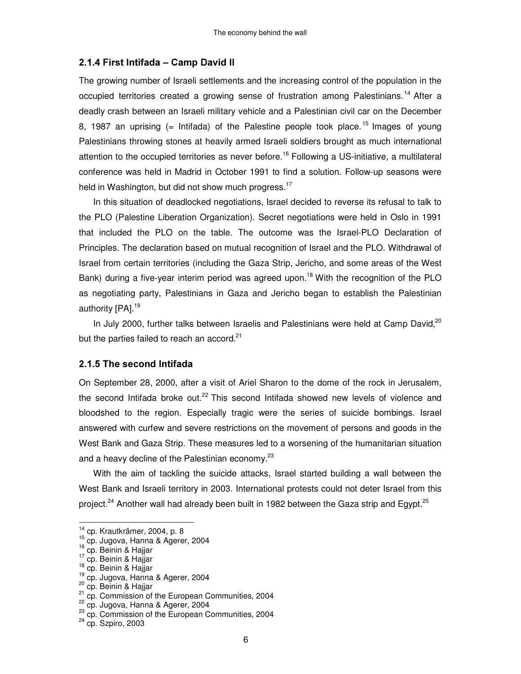#### 2.1.4 First Intifada - Camp David II

The growing number of Israeli settlements and the increasing control of the population in the occupied territories created a growing sense of frustration among Palestinians.<sup>14</sup> After a deadly crash between an Israeli military vehicle and a Palestinian civil car on the December 8, 1987 an uprising (= Intifada) of the Palestine people took place.<sup>15</sup> Images of young Palestinians throwing stones at heavily armed Israeli soldiers brought as much international attention to the occupied territories as never before.<sup>16</sup> Following a US-initiative, a multilateral conference was held in Madrid in October 1991 to find a solution. Follow-up seasons were held in Washington, but did not show much progress.<sup>17</sup>

In this situation of deadlocked negotiations, Israel decided to reverse its refusal to talk to the PLO (Palestine Liberation Organization). Secret negotiations were held in Oslo in 1991 that included the PLO on the table. The outcome was the Israel-PLO Declaration of Principles. The declaration based on mutual recognition of Israel and the PLO. Withdrawal of Israel from certain territories (including the Gaza Strip, Jericho, and some areas of the West Bank) during a five-year interim period was agreed upon.<sup>18</sup> With the recognition of the PLO as negotiating party, Palestinians in Gaza and Jericho began to establish the Palestinian authority [PA].<sup>19</sup>

In July 2000, further talks between Israelis and Palestinians were held at Camp David, $20$ but the parties failed to reach an accord.<sup>21</sup>

#### 2.1.5 The second Intifada

On September 28, 2000, after a visit of Ariel Sharon to the dome of the rock in Jerusalem, the second Intifada broke out.<sup>22</sup> This second Intifada showed new levels of violence and bloodshed to the region. Especially tragic were the series of suicide bombings. Israel answered with curfew and severe restrictions on the movement of persons and goods in the West Bank and Gaza Strip. These measures led to a worsening of the humanitarian situation and a heavy decline of the Palestinian economy.<sup>23</sup>

With the aim of tackling the suicide attacks, Israel started building a wall between the West Bank and Israeli territory in 2003. International protests could not deter Israel from this project.<sup>24</sup> Another wall had already been built in 1982 between the Gaza strip and Egypt.<sup>25</sup>

 14 cp. Krautkrämer, 2004, p. 8

<sup>15</sup> cp. Jugova, Hanna & Agerer, 2004

<sup>&</sup>lt;sup>16</sup> cp. Beinin & Hajjar<br><sup>17</sup> cp. Beinin & Hajjar

<sup>18</sup> cp. Beinin & Hajjar

<sup>19</sup> cp. Jugova, Hanna & Agerer, 2004

<sup>&</sup>lt;sup>20</sup> cp. Beinin & Hajjar<br><sup>21</sup> cp. Commission of the European Communities, 2004

<sup>22</sup> cp. Jugova, Hanna & Agerer, 2004

 $^{23}$  cp. Commission of the European Communities, 2004

<sup>&</sup>lt;sup>24</sup> cp. Szpiro, 2003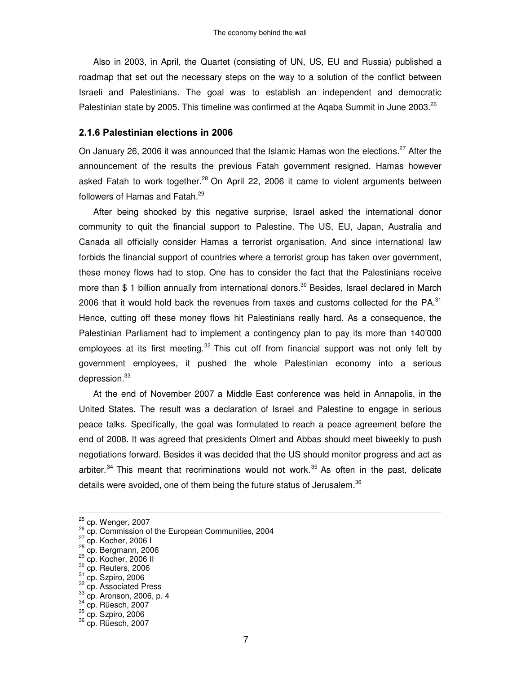Also in 2003, in April, the Quartet (consisting of UN, US, EU and Russia) published a roadmap that set out the necessary steps on the way to a solution of the conflict between Israeli and Palestinians. The goal was to establish an independent and democratic Palestinian state by 2005. This timeline was confirmed at the Aqaba Summit in June 2003.<sup>26</sup>

#### 2.1.6 Palestinian elections in 2006

On January 26, 2006 it was announced that the Islamic Hamas won the elections.<sup>27</sup> After the announcement of the results the previous Fatah government resigned. Hamas however asked Fatah to work together.<sup>28</sup> On April 22, 2006 it came to violent arguments between followers of Hamas and Fatah.<sup>29</sup>

After being shocked by this negative surprise, Israel asked the international donor community to quit the financial support to Palestine. The US, EU, Japan, Australia and Canada all officially consider Hamas a terrorist organisation. And since international law forbids the financial support of countries where a terrorist group has taken over government, these money flows had to stop. One has to consider the fact that the Palestinians receive more than \$ 1 billion annually from international donors. <sup>30</sup> Besides, Israel declared in March 2006 that it would hold back the revenues from taxes and customs collected for the PA. $^{31}$ Hence, cutting off these money flows hit Palestinians really hard. As a consequence, the Palestinian Parliament had to implement a contingency plan to pay its more than 140'000 employees at its first meeting.<sup>32</sup> This cut off from financial support was not only felt by government employees, it pushed the whole Palestinian economy into a serious depression.<sup>33</sup>

At the end of November 2007 a Middle East conference was held in Annapolis, in the United States. The result was a declaration of Israel and Palestine to engage in serious peace talks. Specifically, the goal was formulated to reach a peace agreement before the end of 2008. It was agreed that presidents Olmert and Abbas should meet biweekly to push negotiations forward. Besides it was decided that the US should monitor progress and act as arbiter.<sup>34</sup> This meant that recriminations would not work.<sup>35</sup> As often in the past, delicate details were avoided, one of them being the future status of Jerusalem.<sup>36</sup>

- <sup>29</sup> cp. Kocher, 2006 II
- $30$  cp. Reuters, 2006
- $31$  cp. Szpiro, 2006

33 cp. Aronson, 2006, p. 4

<sup>&</sup>lt;sup>25</sup> cp. Wenger, 2007

 $26$  cp. Commission of the European Communities, 2004

<sup>&</sup>lt;sup>27</sup> cp. Kocher, 2006 I

<sup>&</sup>lt;sup>28</sup> cp. Bergmann, 2006

<sup>&</sup>lt;sup>32</sup> cp. Associated Press

<sup>34</sup> cp. Rüesch, 2007

 $35$  cp. Szpiro, 2006

<sup>36</sup> cp. Rüesch, 2007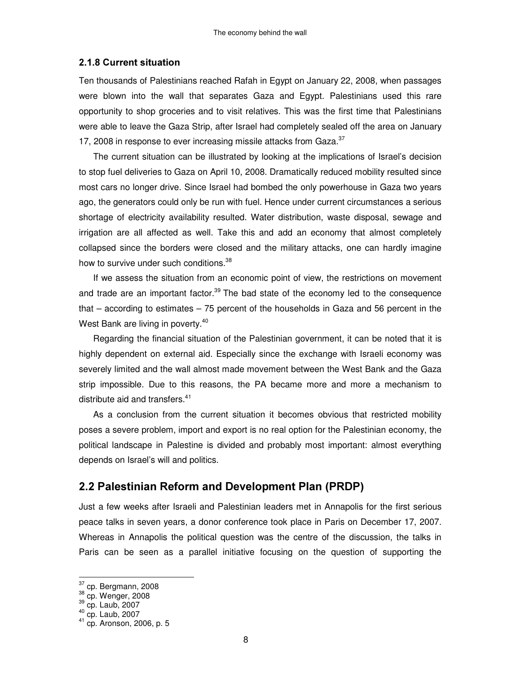#### **2.1.8 Current situation**

Ten thousands of Palestinians reached Rafah in Egypt on January 22, 2008, when passages were blown into the wall that separates Gaza and Egypt. Palestinians used this rare opportunity to shop groceries and to visit relatives. This was the first time that Palestinians were able to leave the Gaza Strip, after Israel had completely sealed off the area on January 17, 2008 in response to ever increasing missile attacks from Gaza.<sup>37</sup>

The current situation can be illustrated by looking at the implications of Israel's decision to stop fuel deliveries to Gaza on April 10, 2008. Dramatically reduced mobility resulted since most cars no longer drive. Since Israel had bombed the only powerhouse in Gaza two years ago, the generators could only be run with fuel. Hence under current circumstances a serious shortage of electricity availability resulted. Water distribution, waste disposal, sewage and irrigation are all affected as well. Take this and add an economy that almost completely collapsed since the borders were closed and the military attacks, one can hardly imagine how to survive under such conditions.<sup>38</sup>

If we assess the situation from an economic point of view, the restrictions on movement and trade are an important factor.<sup>39</sup> The bad state of the economy led to the consequence that – according to estimates – 75 percent of the households in Gaza and 56 percent in the West Bank are living in poverty.<sup>40</sup>

Regarding the financial situation of the Palestinian government, it can be noted that it is highly dependent on external aid. Especially since the exchange with Israeli economy was severely limited and the wall almost made movement between the West Bank and the Gaza strip impossible. Due to this reasons, the PA became more and more a mechanism to distribute aid and transfers. 41

As a conclusion from the current situation it becomes obvious that restricted mobility poses a severe problem, import and export is no real option for the Palestinian economy, the political landscape in Palestine is divided and probably most important: almost everything depends on Israel's will and politics.

## 2.2 Palestinian Reform and Development Plan (PRDP)

Just a few weeks after Israeli and Palestinian leaders met in Annapolis for the first serious peace talks in seven years, a donor conference took place in Paris on December 17, 2007. Whereas in Annapolis the political question was the centre of the discussion, the talks in Paris can be seen as a parallel initiative focusing on the question of supporting the

<sup>&</sup>lt;sup>37</sup> cp. Bergmann, 2008<br><sup>38</sup> cp. Wenger, 2008<br><sup>39</sup> cp. Laub, 2007

<sup>40</sup> cp. Laub, 2007

<sup>41</sup> cp. Aronson, 2006, p. 5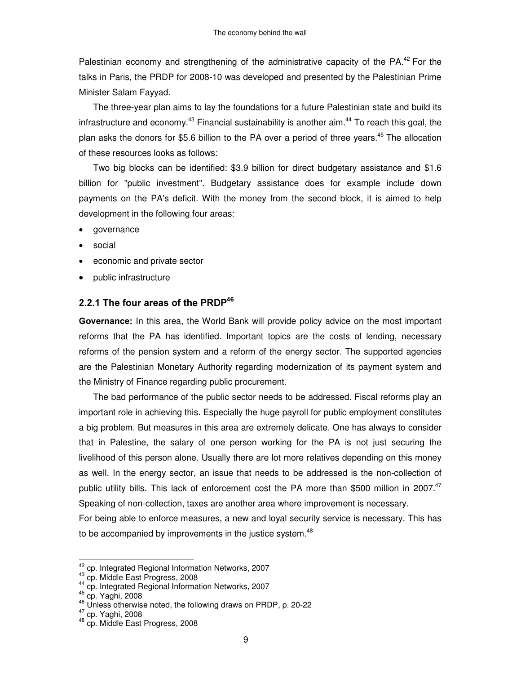Palestinian economy and strengthening of the administrative capacity of the PA.<sup>42</sup> For the talks in Paris, the PRDP for 2008-10 was developed and presented by the Palestinian Prime Minister Salam Fayyad.

The three-year plan aims to lay the foundations for a future Palestinian state and build its infrastructure and economy.<sup>43</sup> Financial sustainability is another aim.<sup>44</sup> To reach this goal, the plan asks the donors for \$5.6 billion to the PA over a period of three years. <sup>45</sup> The allocation of these resources looks as follows:

Two big blocks can be identified: \$3.9 billion for direct budgetary assistance and \$1.6 billion for "public investment". Budgetary assistance does for example include down payments on the PA's deficit. With the money from the second block, it is aimed to help development in the following four areas:

- governance
- social
- economic and private sector
- public infrastructure

## 2.2.1 The four areas of the PRDP $^{\sf 46}$

**Governance:** In this area, the World Bank will provide policy advice on the most important reforms that the PA has identified. Important topics are the costs of lending, necessary reforms of the pension system and a reform of the energy sector. The supported agencies are the Palestinian Monetary Authority regarding modernization of its payment system and the Ministry of Finance regarding public procurement.

The bad performance of the public sector needs to be addressed. Fiscal reforms play an important role in achieving this. Especially the huge payroll for public employment constitutes a big problem. But measures in this area are extremely delicate. One has always to consider that in Palestine, the salary of one person working for the PA is not just securing the livelihood of this person alone. Usually there are lot more relatives depending on this money as well. In the energy sector, an issue that needs to be addressed is the non-collection of public utility bills. This lack of enforcement cost the PA more than \$500 million in 2007.<sup>47</sup> Speaking of non-collection, taxes are another area where improvement is necessary.

For being able to enforce measures, a new and loyal security service is necessary. This has to be accompanied by improvements in the justice system.<sup>48</sup>

<sup>42&</sup>lt;br><sup>42</sup> cp. Integrated Regional Information Networks, 2007

<sup>43</sup> cp. Middle East Progress, 2008

<sup>44</sup> cp. Integrated Regional Information Networks, 2007 45 cp. Yaghi, 2008

<sup>46</sup> Unless otherwise noted, the following draws on PRDP, p. 20-22

 $^{47}_{12}$  cp. Yaghi, 2008

<sup>&</sup>lt;sup>48</sup> cp. Middle East Progress, 2008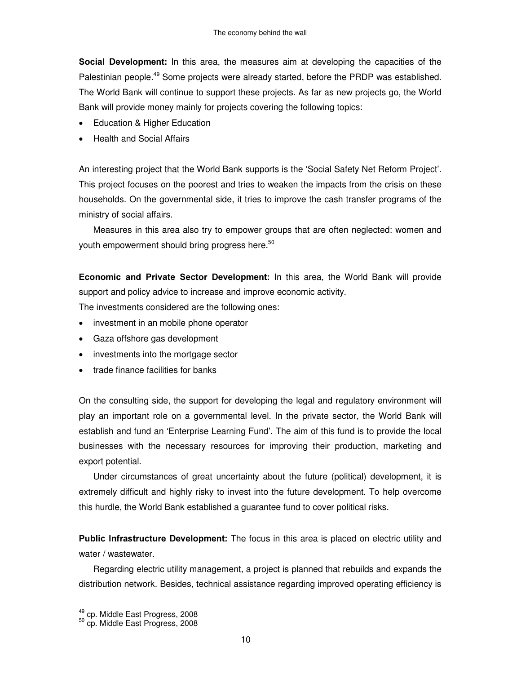**Social Development:** In this area, the measures aim at developing the capacities of the Palestinian people.<sup>49</sup> Some projects were already started, before the PRDP was established. The World Bank will continue to support these projects. As far as new projects go, the World Bank will provide money mainly for projects covering the following topics:

- Education & Higher Education
- Health and Social Affairs

An interesting project that the World Bank supports is the 'Social Safety Net Reform Project'. This project focuses on the poorest and tries to weaken the impacts from the crisis on these households. On the governmental side, it tries to improve the cash transfer programs of the ministry of social affairs.

Measures in this area also try to empower groups that are often neglected: women and youth empowerment should bring progress here. $^{\rm 50}$ 

**Economic and Private Sector Development:** In this area, the World Bank will provide support and policy advice to increase and improve economic activity.

The investments considered are the following ones:

- investment in an mobile phone operator
- Gaza offshore gas development
- investments into the mortgage sector
- trade finance facilities for banks

On the consulting side, the support for developing the legal and regulatory environment will play an important role on a governmental level. In the private sector, the World Bank will establish and fund an 'Enterprise Learning Fund'. The aim of this fund is to provide the local businesses with the necessary resources for improving their production, marketing and export potential.

Under circumstances of great uncertainty about the future (political) development, it is extremely difficult and highly risky to invest into the future development. To help overcome this hurdle, the World Bank established a guarantee fund to cover political risks.

**Public Infrastructure Development:** The focus in this area is placed on electric utility and water / wastewater.

Regarding electric utility management, a project is planned that rebuilds and expands the distribution network. Besides, technical assistance regarding improved operating efficiency is

<sup>&</sup>lt;u>.</u><br><sup>49</sup> cp. Middle East Progress, 2008<br><sup>50</sup> cp. Middle East Progress, 2008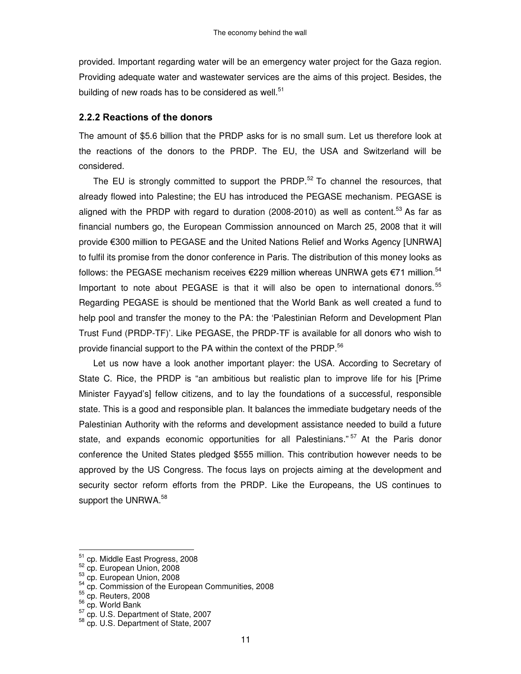provided. Important regarding water will be an emergency water project for the Gaza region. Providing adequate water and wastewater services are the aims of this project. Besides, the building of new roads has to be considered as well.<sup>51</sup>

#### 2.2.2 Reactions of the donors

The amount of \$5.6 billion that the PRDP asks for is no small sum. Let us therefore look at the reactions of the donors to the PRDP. The EU, the USA and Switzerland will be considered.

The EU is strongly committed to support the PRDP. $52$  To channel the resources, that already flowed into Palestine; the EU has introduced the PEGASE mechanism. PEGASE is aligned with the PRDP with regard to duration (2008-2010) as well as content.<sup>53</sup> As far as financial numbers go, the European Commission announced on March 25, 2008 that it will provide  $\epsilon$ 300 million to PEGASE and the United Nations Relief and Works Agency [UNRWA] to fulfil its promise from the donor conference in Paris. The distribution of this money looks as follows: the PEGASE mechanism receives  $E$ 229 million whereas UNRWA gets  $E$ 71 million.<sup>54</sup> Important to note about PEGASE is that it will also be open to international donors.<sup>55</sup> Regarding PEGASE is should be mentioned that the World Bank as well created a fund to help pool and transfer the money to the PA: the 'Palestinian Reform and Development Plan Trust Fund (PRDP-TF)'. Like PEGASE, the PRDP-TF is available for all donors who wish to provide financial support to the PA within the context of the PRDP.<sup>56</sup>

Let us now have a look another important player: the USA. According to Secretary of State C. Rice, the PRDP is "an ambitious but realistic plan to improve life for his [Prime Minister Fayyad's] fellow citizens, and to lay the foundations of a successful, responsible state. This is a good and responsible plan. It balances the immediate budgetary needs of the Palestinian Authority with the reforms and development assistance needed to build a future state, and expands economic opportunities for all Palestinians."<sup>57</sup> At the Paris donor conference the United States pledged \$555 million. This contribution however needs to be approved by the US Congress. The focus lays on projects aiming at the development and security sector reform efforts from the PRDP. Like the Europeans, the US continues to support the UNRWA. $^{58}$ 

 51 cp. Middle East Progress, 2008

<sup>52</sup> cp. European Union, 2008

<sup>53</sup> cp. European Union, 2008

<sup>&</sup>lt;sup>54</sup> cp. Commission of the European Communities, 2008<br><sup>55</sup> cp. Reuters, 2008

<sup>&</sup>lt;sup>56</sup> cp. World Bank

<sup>&</sup>lt;sup>57</sup> cp. U.S. Department of State, 2007

<sup>&</sup>lt;sup>58</sup> cp. U.S. Department of State, 2007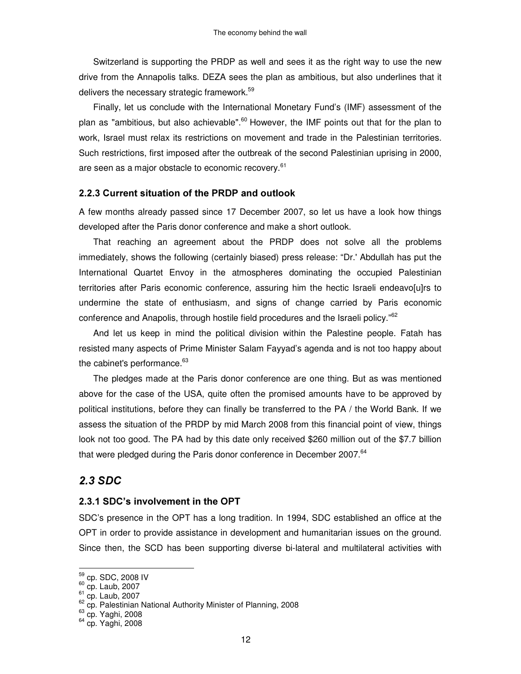Switzerland is supporting the PRDP as well and sees it as the right way to use the new drive from the Annapolis talks. DEZA sees the plan as ambitious, but also underlines that it delivers the necessary strategic framework.<sup>59</sup>

Finally, let us conclude with the International Monetary Fund's (IMF) assessment of the plan as "ambitious, but also achievable".<sup>60</sup> However, the IMF points out that for the plan to work, Israel must relax its restrictions on movement and trade in the Palestinian territories. Such restrictions, first imposed after the outbreak of the second Palestinian uprising in 2000, are seen as a major obstacle to economic recovery.<sup>61</sup>

#### 2.2.3 Current situation of the PRDP and outlook

A few months already passed since 17 December 2007, so let us have a look how things developed after the Paris donor conference and make a short outlook.

That reaching an agreement about the PRDP does not solve all the problems immediately, shows the following (certainly biased) press release: "Dr.'Abdullah has put the International Quartet Envoy in the atmospheres dominating the occupied Palestinian territories after Paris economic conference, assuring him the hectic Israeli endeavo[u]rs to undermine the state of enthusiasm, and signs of change carried by Paris economic conference and Anapolis, through hostile field procedures and the Israeli policy."<sup>62</sup>

And let us keep in mind the political division within the Palestine people. Fatah has resisted many aspects of Prime Minister Salam Fayyad's agenda and is not too happy about the cabinet's performance.<sup>63</sup>

The pledges made at the Paris donor conference are one thing. But as was mentioned above for the case of the USA, quite often the promised amounts have to be approved by political institutions, before they can finally be transferred to the PA / the World Bank. If we assess the situation of the PRDP by mid March 2008 from this financial point of view, things look not too good. The PA had by this date only received \$260 million out of the \$7.7 billion that were pledged during the Paris donor conference in December 2007.<sup>64</sup>

#### 2.3 SDC

#### 2.3.1 SDC's involvement in the OPT

SDC's presence in the OPT has a long tradition. In 1994, SDC established an office at the OPT in order to provide assistance in development and humanitarian issues on the ground. Since then, the SCD has been supporting diverse bi-lateral and multilateral activities with

<sup>&</sup>lt;u><sub>59</sub></u> cp. SDC, 2008 IV

<sup>&</sup>lt;sup>60</sup> cp. Laub, 2007<br><sup>61</sup> cp. Laub, 2007<br><sup>62</sup> cp. Palestinian National Authority Minister of Planning, 2008<br><sup>63</sup> sp. Yashi, 2008

 $63$  cp. Yaghi, 2008

<sup>64</sup> cp. Yaghi, 2008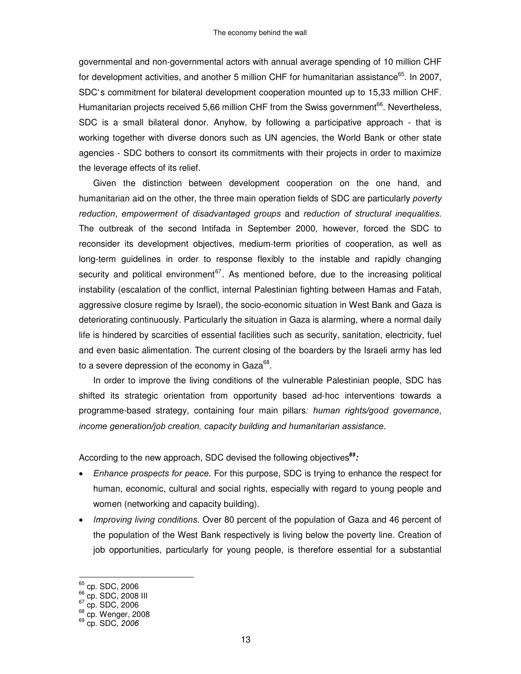governmental and non-governmental actors with annual average spending of 10 million CHF for development activities, and another 5 million CHF for humanitarian assistance<sup>65</sup>. In 2007, SDC's commitment for bilateral development cooperation mounted up to 15,33 million CHF. Humanitarian projects received 5,66 million CHF from the Swiss government<sup>66</sup>. Nevertheless, SDC is a small bilateral donor. Anyhow, by following a participative approach - that is working together with diverse donors such as UN agencies, the World Bank or other state agencies - SDC bothers to consort its commitments with their projects in order to maximize the leverage effects of its relief.

Given the distinction between development cooperation on the one hand, and humanitarian aid on the other, the three main operation fields of SDC are particularly poverty reduction, empowerment of disadvantaged groups and reduction of structural inequalities. The outbreak of the second Intifada in September 2000, however, forced the SDC to reconsider its development objectives, medium-term priorities of cooperation, as well as long-term guidelines in order to response flexibly to the instable and rapidly changing security and political environment<sup>67</sup>. As mentioned before, due to the increasing political instability (escalation of the conflict, internal Palestinian fighting between Hamas and Fatah, aggressive closure regime by Israel), the socio-economic situation in West Bank and Gaza is deteriorating continuously. Particularly the situation in Gaza is alarming, where a normal daily life is hindered by scarcities of essential facilities such as security, sanitation, electricity, fuel and even basic alimentation. The current closing of the boarders by the Israeli army has led to a severe depression of the economy in Gaza $^{68}.$ 

In order to improve the living conditions of the vulnerable Palestinian people, SDC has shifted its strategic orientation from opportunity based ad-hoc interventions towards a programme-based strategy, containing four main pillars: human rights/good governance, income generation/job creation, capacity building and humanitarian assistance.

According to the new approach, SDC devised the following objectives<sup>69</sup>:

- Enhance prospects for peace. For this purpose, SDC is trying to enhance the respect for human, economic, cultural and social rights, especially with regard to young people and women (networking and capacity building).
- Improving living conditions. Over 80 percent of the population of Gaza and 46 percent of the population of the West Bank respectively is living below the poverty line. Creation of job opportunities, particularly for young people, is therefore essential for a substantial

<sup>&</sup>lt;sup>65</sup> cp. SDC, 2006<br><sup>66</sup> cp. SDC, 2008 III<br><sup>67</sup> cp. SDC, 2006

<sup>68</sup> cp. Wenger, 2008

<sup>&</sup>lt;sup>69</sup> cp. SDC, 2006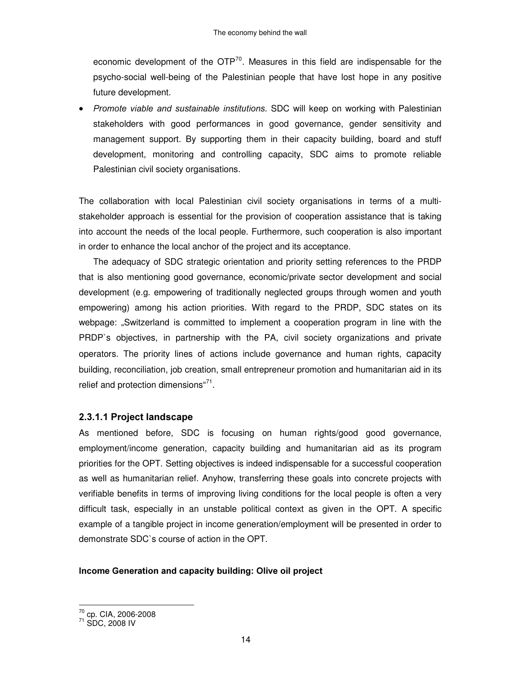economic development of the OTP<sup>70</sup>. Measures in this field are indispensable for the psycho-social well-being of the Palestinian people that have lost hope in any positive future development.

Promote viable and sustainable institutions. SDC will keep on working with Palestinian stakeholders with good performances in good governance, gender sensitivity and management support. By supporting them in their capacity building, board and stuff development, monitoring and controlling capacity, SDC aims to promote reliable Palestinian civil society organisations.

The collaboration with local Palestinian civil society organisations in terms of a multistakeholder approach is essential for the provision of cooperation assistance that is taking into account the needs of the local people. Furthermore, such cooperation is also important in order to enhance the local anchor of the project and its acceptance.

The adequacy of SDC strategic orientation and priority setting references to the PRDP that is also mentioning good governance, economic/private sector development and social development (e.g. empowering of traditionally neglected groups through women and youth empowering) among his action priorities. With regard to the PRDP, SDC states on its webpage: "Switzerland is committed to implement a cooperation program in line with the PRDP`s objectives, in partnership with the PA, civil society organizations and private operators. The priority lines of actions include governance and human rights, capacity building, reconciliation, job creation, small entrepreneur promotion and humanitarian aid in its relief and protection dimensions"<sup>71</sup>.

#### 2.3.1.1 Project landscape

As mentioned before, SDC is focusing on human rights/good good governance, employment/income generation, capacity building and humanitarian aid as its program priorities for the OPT. Setting objectives is indeed indispensable for a successful cooperation as well as humanitarian relief. Anyhow, transferring these goals into concrete projects with verifiable benefits in terms of improving living conditions for the local people is often a very difficult task, especially in an unstable political context as given in the OPT. A specific example of a tangible project in income generation/employment will be presented in order to demonstrate SDC`s course of action in the OPT.

#### Income Generation and capacity building: Olive oil project

<sup>&</sup>lt;sup>70</sup> cp. CIA, 2006-2008<br><sup>71</sup> SDC, 2008 IV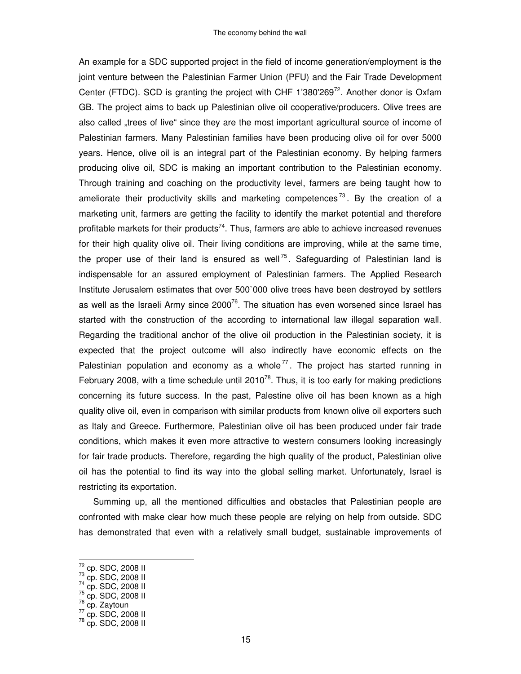An example for a SDC supported project in the field of income generation/employment is the joint venture between the Palestinian Farmer Union (PFU) and the Fair Trade Development Center (FTDC). SCD is granting the project with CHF 1'380'269<sup>72</sup>. Another donor is Oxfam GB. The project aims to back up Palestinian olive oil cooperative/producers. Olive trees are also called "trees of live" since they are the most important agricultural source of income of Palestinian farmers. Many Palestinian families have been producing olive oil for over 5000 years. Hence, olive oil is an integral part of the Palestinian economy. By helping farmers producing olive oil, SDC is making an important contribution to the Palestinian economy. Through training and coaching on the productivity level, farmers are being taught how to ameliorate their productivity skills and marketing competences<sup>73</sup>. By the creation of a marketing unit, farmers are getting the facility to identify the market potential and therefore profitable markets for their products<sup>74</sup>. Thus, farmers are able to achieve increased revenues for their high quality olive oil. Their living conditions are improving, while at the same time, the proper use of their land is ensured as well<sup>75</sup>. Safeguarding of Palestinian land is indispensable for an assured employment of Palestinian farmers. The Applied Research Institute Jerusalem estimates that over 500`000 olive trees have been destroyed by settlers as well as the Israeli Army since 2000<sup>76</sup>. The situation has even worsened since Israel has started with the construction of the according to international law illegal separation wall. Regarding the traditional anchor of the olive oil production in the Palestinian society, it is expected that the project outcome will also indirectly have economic effects on the Palestinian population and economy as a whole<sup>77</sup>. The project has started running in February 2008, with a time schedule until  $2010^{78}$ . Thus, it is too early for making predictions concerning its future success. In the past, Palestine olive oil has been known as a high quality olive oil, even in comparison with similar products from known olive oil exporters such as Italy and Greece. Furthermore, Palestinian olive oil has been produced under fair trade conditions, which makes it even more attractive to western consumers looking increasingly for fair trade products. Therefore, regarding the high quality of the product, Palestinian olive oil has the potential to find its way into the global selling market. Unfortunately, Israel is restricting its exportation.

Summing up, all the mentioned difficulties and obstacles that Palestinian people are confronted with make clear how much these people are relying on help from outside. SDC has demonstrated that even with a relatively small budget, sustainable improvements of

- 
- <sup>76</sup> cp. Zaytoun

 $\frac{72}{10}$  cp. SDC, 2008 II

<sup>&</sup>lt;sup>73</sup> cp. SDC, 2008 II<br><sup>74</sup> cp. SDC, 2008 II<br><sup>75</sup> cp. SDC, 2008 II

<sup>&</sup>lt;sup>77</sup> cp. SDC, 2008 II<br><sup>78</sup> cp. SDC, 2008 II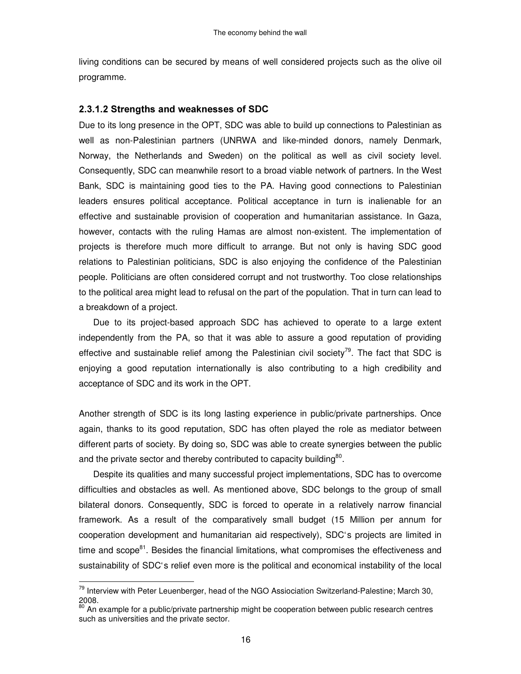living conditions can be secured by means of well considered projects such as the olive oil programme.

#### 2.3.1.2 Strengths and weaknesses of SDC

Due to its long presence in the OPT, SDC was able to build up connections to Palestinian as well as non-Palestinian partners (UNRWA and like-minded donors, namely Denmark, Norway, the Netherlands and Sweden) on the political as well as civil society level. Consequently, SDC can meanwhile resort to a broad viable network of partners. In the West Bank, SDC is maintaining good ties to the PA. Having good connections to Palestinian leaders ensures political acceptance. Political acceptance in turn is inalienable for an effective and sustainable provision of cooperation and humanitarian assistance. In Gaza, however, contacts with the ruling Hamas are almost non-existent. The implementation of projects is therefore much more difficult to arrange. But not only is having SDC good relations to Palestinian politicians, SDC is also enjoying the confidence of the Palestinian people. Politicians are often considered corrupt and not trustworthy. Too close relationships to the political area might lead to refusal on the part of the population. That in turn can lead to a breakdown of a project.

Due to its project-based approach SDC has achieved to operate to a large extent independently from the PA, so that it was able to assure a good reputation of providing effective and sustainable relief among the Palestinian civil society<sup>79</sup>. The fact that SDC is enjoying a good reputation internationally is also contributing to a high credibility and acceptance of SDC and its work in the OPT.

Another strength of SDC is its long lasting experience in public/private partnerships. Once again, thanks to its good reputation, SDC has often played the role as mediator between different parts of society. By doing so, SDC was able to create synergies between the public and the private sector and thereby contributed to capacity building $^{80}$ .

Despite its qualities and many successful project implementations, SDC has to overcome difficulties and obstacles as well. As mentioned above, SDC belongs to the group of small bilateral donors. Consequently, SDC is forced to operate in a relatively narrow financial framework. As a result of the comparatively small budget (15 Million per annum for cooperation development and humanitarian aid respectively), SDC's projects are limited in time and scope<sup>81</sup>. Besides the financial limitations, what compromises the effectiveness and sustainability of SDC's relief even more is the political and economical instability of the local

<sup>&</sup>lt;sup>79</sup> Interview with Peter Leuenberger, head of the NGO Assiociation Switzerland-Palestine; March 30, 2008.

An example for a public/private partnership might be cooperation between public research centres such as universities and the private sector.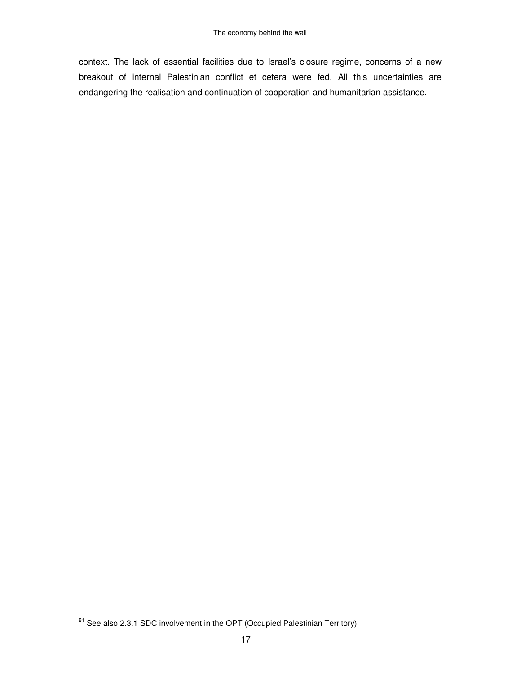context. The lack of essential facilities due to Israel's closure regime, concerns of a new breakout of internal Palestinian conflict et cetera were fed. All this uncertainties are endangering the realisation and continuation of cooperation and humanitarian assistance.

<sup>&</sup>lt;sup>81</sup> See also 2.3.1 SDC involvement in the OPT (Occupied Palestinian Territory).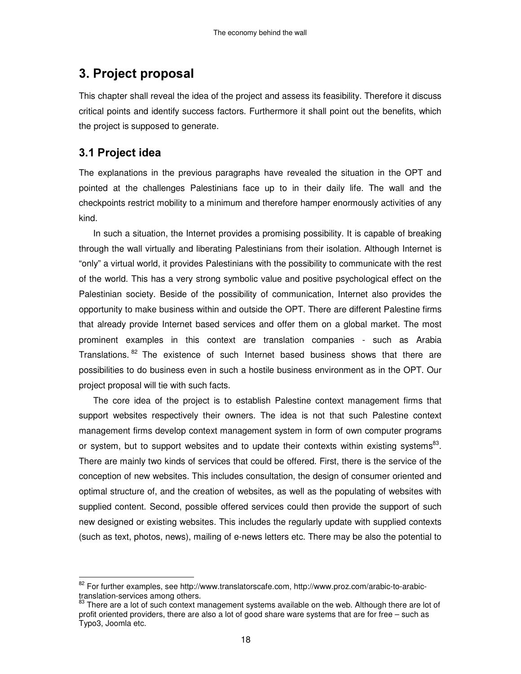## 3. Project proposal

This chapter shall reveal the idea of the project and assess its feasibility. Therefore it discuss critical points and identify success factors. Furthermore it shall point out the benefits, which the project is supposed to generate.

## 3.1 Project idea

The explanations in the previous paragraphs have revealed the situation in the OPT and pointed at the challenges Palestinians face up to in their daily life. The wall and the checkpoints restrict mobility to a minimum and therefore hamper enormously activities of any kind.

In such a situation, the Internet provides a promising possibility. It is capable of breaking through the wall virtually and liberating Palestinians from their isolation. Although Internet is "only" a virtual world, it provides Palestinians with the possibility to communicate with the rest of the world. This has a very strong symbolic value and positive psychological effect on the Palestinian society. Beside of the possibility of communication, Internet also provides the opportunity to make business within and outside the OPT. There are different Palestine firms that already provide Internet based services and offer them on a global market. The most prominent examples in this context are translation companies - such as Arabia Translations. <sup>82</sup> The existence of such Internet based business shows that there are possibilities to do business even in such a hostile business environment as in the OPT. Our project proposal will tie with such facts.

The core idea of the project is to establish Palestine context management firms that support websites respectively their owners. The idea is not that such Palestine context management firms develop context management system in form of own computer programs or system, but to support websites and to update their contexts within existing systems<sup>83</sup>. There are mainly two kinds of services that could be offered. First, there is the service of the conception of new websites. This includes consultation, the design of consumer oriented and optimal structure of, and the creation of websites, as well as the populating of websites with supplied content. Second, possible offered services could then provide the support of such new designed or existing websites. This includes the regularly update with supplied contexts (such as text, photos, news), mailing of e-news letters etc. There may be also the potential to

extings<br>Bell For further examples, see http://www.translatorscafe.com, http://www.proz.com/arabic-to-arabictranslation-services among others.

 $83$  There are a lot of such context management systems available on the web. Although there are lot of profit oriented providers, there are also a lot of good share ware systems that are for free – such as Typo3, Joomla etc.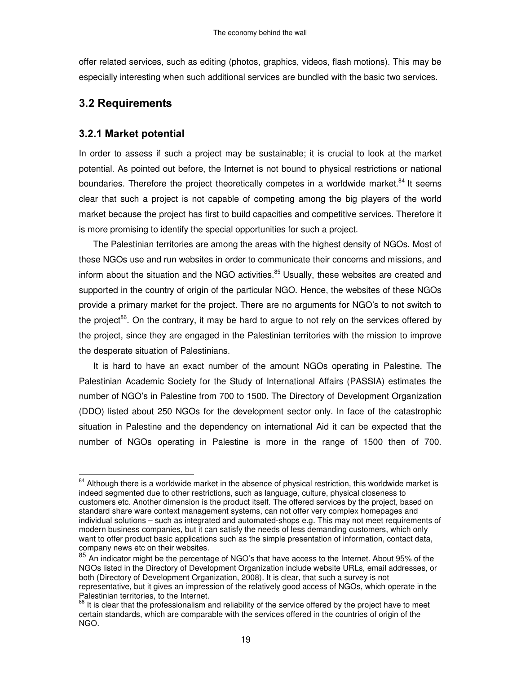offer related services, such as editing (photos, graphics, videos, flash motions). This may be especially interesting when such additional services are bundled with the basic two services.

## **3.2 Requirements**

## 3.2.1 Market potential

In order to assess if such a project may be sustainable; it is crucial to look at the market potential. As pointed out before, the Internet is not bound to physical restrictions or national boundaries. Therefore the project theoretically competes in a worldwide market.<sup>84</sup> It seems clear that such a project is not capable of competing among the big players of the world market because the project has first to build capacities and competitive services. Therefore it is more promising to identify the special opportunities for such a project.

The Palestinian territories are among the areas with the highest density of NGOs. Most of these NGOs use and run websites in order to communicate their concerns and missions, and inform about the situation and the NGO activities.<sup>85</sup> Usually, these websites are created and supported in the country of origin of the particular NGO. Hence, the websites of these NGOs provide a primary market for the project. There are no arguments for NGO's to not switch to the project<sup>86</sup>. On the contrary, it may be hard to argue to not rely on the services offered by the project, since they are engaged in the Palestinian territories with the mission to improve the desperate situation of Palestinians.

It is hard to have an exact number of the amount NGOs operating in Palestine. The Palestinian Academic Society for the Study of International Affairs (PASSIA) estimates the number of NGO's in Palestine from 700 to 1500. The Directory of Development Organization (DDO) listed about 250 NGOs for the development sector only. In face of the catastrophic situation in Palestine and the dependency on international Aid it can be expected that the number of NGOs operating in Palestine is more in the range of 1500 then of 700.

 $\overline{a}$  $84$  Although there is a worldwide market in the absence of physical restriction, this worldwide market is indeed segmented due to other restrictions, such as language, culture, physical closeness to customers etc. Another dimension is the product itself. The offered services by the project, based on standard share ware context management systems, can not offer very complex homepages and individual solutions – such as integrated and automated-shops e.g. This may not meet requirements of modern business companies, but it can satisfy the needs of less demanding customers, which only want to offer product basic applications such as the simple presentation of information, contact data, company news etc on their websites.

<sup>85</sup> An indicator might be the percentage of NGO's that have access to the Internet. About 95% of the NGOs listed in the Directory of Development Organization include website URLs, email addresses, or both (Directory of Development Organization, 2008). It is clear, that such a survey is not representative, but it gives an impression of the relatively good access of NGOs, which operate in the Palestinian territories, to the Internet.

<sup>&</sup>lt;sup>86</sup> It is clear that the professionalism and reliability of the service offered by the project have to meet certain standards, which are comparable with the services offered in the countries of origin of the NGO.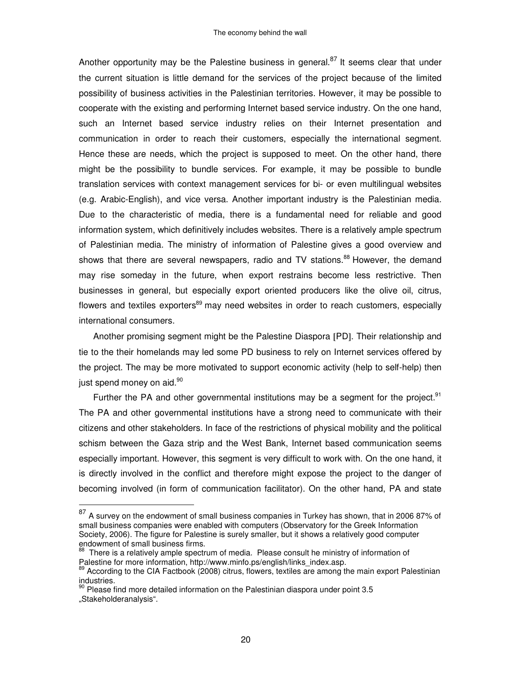Another opportunity may be the Palestine business in general.<sup>87</sup> It seems clear that under the current situation is little demand for the services of the project because of the limited possibility of business activities in the Palestinian territories. However, it may be possible to cooperate with the existing and performing Internet based service industry. On the one hand, such an Internet based service industry relies on their Internet presentation and communication in order to reach their customers, especially the international segment. Hence these are needs, which the project is supposed to meet. On the other hand, there might be the possibility to bundle services. For example, it may be possible to bundle translation services with context management services for bi- or even multilingual websites (e.g. Arabic-English), and vice versa. Another important industry is the Palestinian media. Due to the characteristic of media, there is a fundamental need for reliable and good information system, which definitively includes websites. There is a relatively ample spectrum of Palestinian media. The ministry of information of Palestine gives a good overview and shows that there are several newspapers, radio and TV stations.<sup>88</sup> However, the demand may rise someday in the future, when export restrains become less restrictive. Then businesses in general, but especially export oriented producers like the olive oil, citrus, flowers and textiles exporters<sup>89</sup> may need websites in order to reach customers, especially international consumers.

Another promising segment might be the Palestine Diaspora [PD]. Their relationship and tie to the their homelands may led some PD business to rely on Internet services offered by the project. The may be more motivated to support economic activity (help to self-help) then just spend money on aid.<sup>90</sup>

Further the PA and other governmental institutions may be a segment for the project.<sup>91</sup> The PA and other governmental institutions have a strong need to communicate with their citizens and other stakeholders. In face of the restrictions of physical mobility and the political schism between the Gaza strip and the West Bank, Internet based communication seems especially important. However, this segment is very difficult to work with. On the one hand, it is directly involved in the conflict and therefore might expose the project to the danger of becoming involved (in form of communication facilitator). On the other hand, PA and state

 $\overline{a}$ 

 $^{87}$  A survey on the endowment of small business companies in Turkey has shown, that in 2006 87% of small business companies were enabled with computers (Observatory for the Greek Information Society, 2006). The figure for Palestine is surely smaller, but it shows a relatively good computer endowment of small business firms.<br><sup>88</sup> There is a relatively ample spectrum of media. Please consult he ministry of information of

Palestine for more information, http://www.minfo.ps/english/links\_index.asp.

<sup>&</sup>lt;sup>89</sup> According to the CIA Factbook (2008) citrus, flowers, textiles are among the main export Palestinian industries.<br><sup>90</sup> Please find more detailed information on the Palestinian diaspora under point 3.5

<sup>&</sup>quot;Stakeholderanalysis".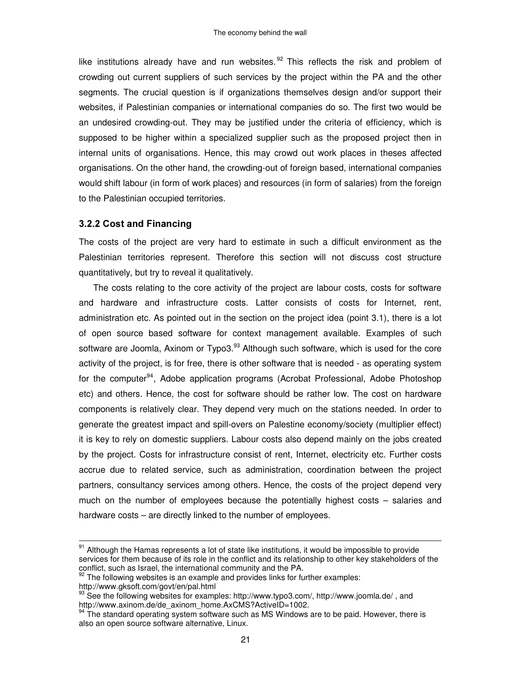like institutions already have and run websites.<sup>92</sup> This reflects the risk and problem of crowding out current suppliers of such services by the project within the PA and the other segments. The crucial question is if organizations themselves design and/or support their websites, if Palestinian companies or international companies do so. The first two would be an undesired crowding-out. They may be justified under the criteria of efficiency, which is supposed to be higher within a specialized supplier such as the proposed project then in internal units of organisations. Hence, this may crowd out work places in theses affected organisations. On the other hand, the crowding-out of foreign based, international companies would shift labour (in form of work places) and resources (in form of salaries) from the foreign to the Palestinian occupied territories.

#### 3.2.2 Cost and Financing

The costs of the project are very hard to estimate in such a difficult environment as the Palestinian territories represent. Therefore this section will not discuss cost structure quantitatively, but try to reveal it qualitatively.

The costs relating to the core activity of the project are labour costs, costs for software and hardware and infrastructure costs. Latter consists of costs for Internet, rent, administration etc. As pointed out in the section on the project idea (point 3.1), there is a lot of open source based software for context management available. Examples of such software are Joomla, Axinom or Typo3.<sup>93</sup> Although such software, which is used for the core activity of the project, is for free, there is other software that is needed - as operating system for the computer<sup>94</sup>, Adobe application programs (Acrobat Professional, Adobe Photoshop etc) and others. Hence, the cost for software should be rather low. The cost on hardware components is relatively clear. They depend very much on the stations needed. In order to generate the greatest impact and spill-overs on Palestine economy/society (multiplier effect) it is key to rely on domestic suppliers. Labour costs also depend mainly on the jobs created by the project. Costs for infrastructure consist of rent, Internet, electricity etc. Further costs accrue due to related service, such as administration, coordination between the project partners, consultancy services among others. Hence, the costs of the project depend very much on the number of employees because the potentially highest costs – salaries and hardware costs – are directly linked to the number of employees.

 $\overline{a}$ 

<sup>&</sup>lt;sup>91</sup> Although the Hamas represents a lot of state like institutions, it would be impossible to provide services for them because of its role in the conflict and its relationship to other key stakeholders of the conflict, such as Israel, the international community and the PA.

 $92$  The following websites is an example and provides links for further examples:

http://www.gksoft.com/govt/en/pal.html

<sup>&</sup>lt;sup>93</sup> See the following websites for examples: http://www.typo3.com/, http://www.joomla.de/, and http://www.axinom.de/de\_axinom\_home.AxCMS?ActiveID=1002.

 $94$  The standard operating system software such as MS Windows are to be paid. However, there is also an open source software alternative, Linux.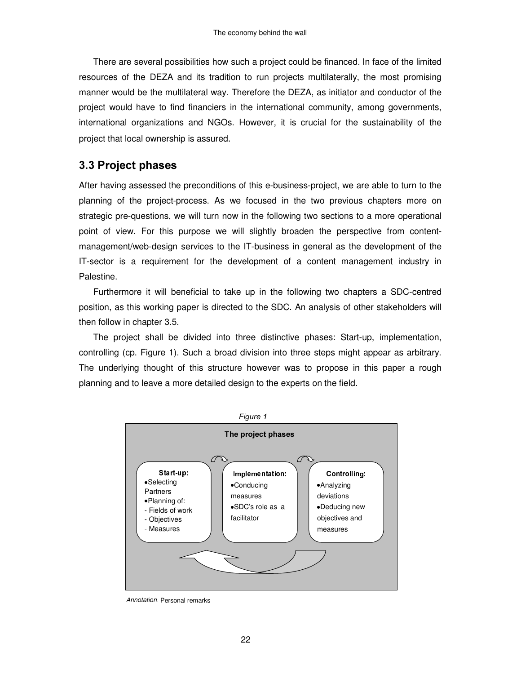There are several possibilities how such a project could be financed. In face of the limited resources of the DEZA and its tradition to run projects multilaterally, the most promising manner would be the multilateral way. Therefore the DEZA, as initiator and conductor of the project would have to find financiers in the international community, among governments, international organizations and NGOs. However, it is crucial for the sustainability of the project that local ownership is assured.

## 3.3 Project phases

After having assessed the preconditions of this e-business-project, we are able to turn to the planning of the project-process. As we focused in the two previous chapters more on strategic pre-questions, we will turn now in the following two sections to a more operational point of view. For this purpose we will slightly broaden the perspective from contentmanagement/web-design services to the IT-business in general as the development of the IT-sector is a requirement for the development of a content management industry in Palestine.

Furthermore it will beneficial to take up in the following two chapters a SDC-centred position, as this working paper is directed to the SDC. An analysis of other stakeholders will then follow in chapter 3.5.

The project shall be divided into three distinctive phases: Start-up, implementation, controlling (cp. Figure 1). Such a broad division into three steps might appear as arbitrary. The underlying thought of this structure however was to propose in this paper a rough planning and to leave a more detailed design to the experts on the field.



Annotation Personal remarks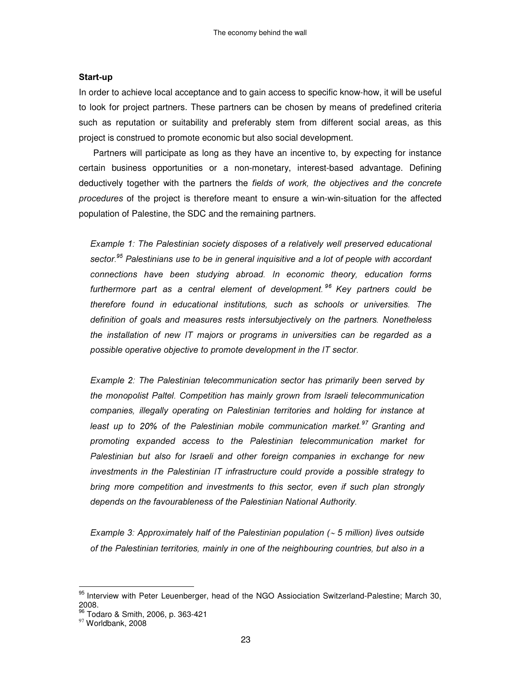#### Start-up

In order to achieve local acceptance and to gain access to specific know-how, it will be useful to look for project partners. These partners can be chosen by means of predefined criteria such as reputation or suitability and preferably stem from different social areas, as this project is construed to promote economic but also social development.

Partners will participate as long as they have an incentive to, by expecting for instance certain business opportunities or a non-monetary, interest-based advantage. Defining deductively together with the partners the fields of work, the objectives and the concrete procedures of the project is therefore meant to ensure a win-win-situation for the affected population of Palestine, the SDC and the remaining partners.

Example 1: The Palestinian society disposes of a relatively well preserved educational sector.<sup>95</sup> Palestinians use to be in general inquisitive and a lot of people with accordant connections have been studying abroad. In economic theory, education forms furthermore part as a central element of development.<sup>96</sup> Key partners could be therefore found in educational institutions, such as schools or universities. The definition of goals and measures rests intersubjectively on the partners. Nonetheless the installation of new IT majors or programs in universities can be regarded as a possible operative objective to promote development in the IT sector.

Example 2: The Palestinian telecommunication sector has primarily been served by the monopolist Paltel. Competition has mainly grown from Israeli telecommunication companies, illegally operating on Palestinian territories and holding for instance at least up to 20% of the Palestinian mobile communication market.<sup>97</sup> Granting and promoting expanded access to the Palestinian telecommunication market for Palestinian but also for Israeli and other foreign companies in exchange for new investments in the Palestinian IT infrastructure could provide a possible strategy to bring more competition and investments to this sector, even if such plan strongly depends on the favourableness of the Palestinian National Authority.

Example 3: Approximately half of the Palestinian population ( $\sim$  5 million) lives outside of the Palestinian territories, mainly in one of the neighbouring countries, but also in a

<sup>&</sup>lt;sup>95</sup> Interview with Peter Leuenberger, head of the NGO Assiociation Switzerland-Palestine; March 30, 2008.

<sup>&</sup>lt;sup>96</sup> Todaro & Smith, 2006, p. 363-421

<sup>&</sup>lt;sup>97</sup> Worldbank, 2008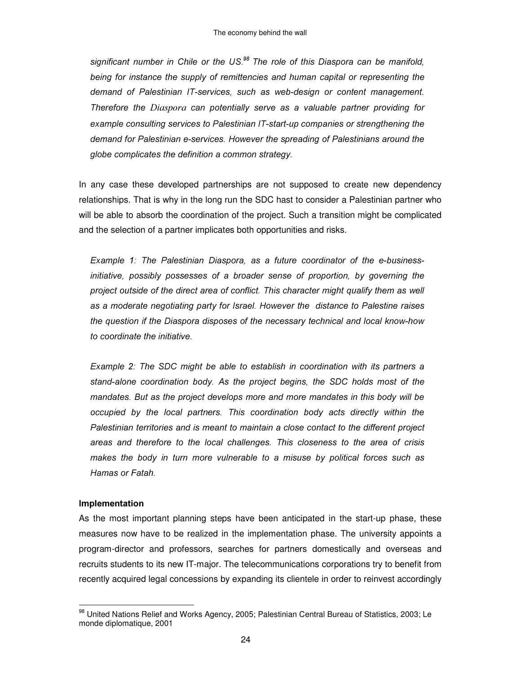significant number in Chile or the US.<sup>98</sup> The role of this Diaspora can be manifold, being for instance the supply of remittencies and human capital or representing the demand of Palestinian IT-services, such as web-design or content management. Therefore the Diaspora can potentially serve as a valuable partner providing for example consulting services to Palestinian IT-start-up companies or strengthening the demand for Palestinian e-services. However the spreading of Palestinians around the globe complicates the definition a common strategy.

In any case these developed partnerships are not supposed to create new dependency relationships. That is why in the long run the SDC hast to consider a Palestinian partner who will be able to absorb the coordination of the project. Such a transition might be complicated and the selection of a partner implicates both opportunities and risks.

Example 1: The Palestinian Diaspora, as a future coordinator of the e-businessinitiative, possibly possesses of a broader sense of proportion, by governing the project outside of the direct area of conflict. This character might qualify them as well as a moderate negotiating party for Israel. However the distance to Palestine raises the question if the Diaspora disposes of the necessary technical and local know-how to coordinate the initiative.

Example 2: The SDC might be able to establish in coordination with its partners a stand-alone coordination body. As the project begins, the SDC holds most of the mandates. But as the project develops more and more mandates in this body will be occupied by the local partners. This coordination body acts directly within the Palestinian territories and is meant to maintain a close contact to the different project areas and therefore to the local challenges. This closeness to the area of crisis makes the body in turn more vulnerable to a misuse by political forces such as Hamas or Fatah.

#### Implementation

 $\overline{a}$ 

As the most important planning steps have been anticipated in the start-up phase, these measures now have to be realized in the implementation phase. The university appoints a program-director and professors, searches for partners domestically and overseas and recruits students to its new IT-major. The telecommunications corporations try to benefit from recently acquired legal concessions by expanding its clientele in order to reinvest accordingly

<sup>&</sup>lt;sup>98</sup> United Nations Relief and Works Agency, 2005; Palestinian Central Bureau of Statistics, 2003; Le monde diplomatique, 2001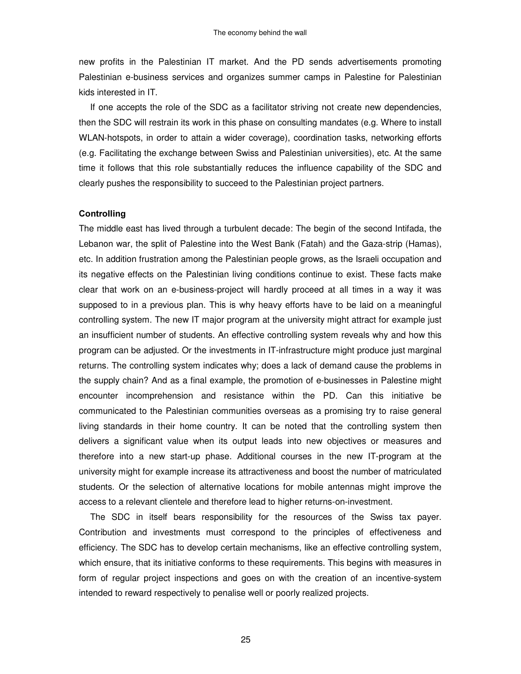new profits in the Palestinian IT market. And the PD sends advertisements promoting Palestinian e-business services and organizes summer camps in Palestine for Palestinian kids interested in IT.

If one accepts the role of the SDC as a facilitator striving not create new dependencies, then the SDC will restrain its work in this phase on consulting mandates (e.g. Where to install WLAN-hotspots, in order to attain a wider coverage), coordination tasks, networking efforts (e.g. Facilitating the exchange between Swiss and Palestinian universities), etc. At the same time it follows that this role substantially reduces the influence capability of the SDC and clearly pushes the responsibility to succeed to the Palestinian project partners.

#### Controlling

The middle east has lived through a turbulent decade: The begin of the second Intifada, the Lebanon war, the split of Palestine into the West Bank (Fatah) and the Gaza-strip (Hamas), etc. In addition frustration among the Palestinian people grows, as the Israeli occupation and its negative effects on the Palestinian living conditions continue to exist. These facts make clear that work on an e-business-project will hardly proceed at all times in a way it was supposed to in a previous plan. This is why heavy efforts have to be laid on a meaningful controlling system. The new IT major program at the university might attract for example just an insufficient number of students. An effective controlling system reveals why and how this program can be adjusted. Or the investments in IT-infrastructure might produce just marginal returns. The controlling system indicates why; does a lack of demand cause the problems in the supply chain? And as a final example, the promotion of e-businesses in Palestine might encounter incomprehension and resistance within the PD. Can this initiative be communicated to the Palestinian communities overseas as a promising try to raise general living standards in their home country. It can be noted that the controlling system then delivers a significant value when its output leads into new objectives or measures and therefore into a new start-up phase. Additional courses in the new IT-program at the university might for example increase its attractiveness and boost the number of matriculated students. Or the selection of alternative locations for mobile antennas might improve the access to a relevant clientele and therefore lead to higher returns-on-investment.

The SDC in itself bears responsibility for the resources of the Swiss tax payer. Contribution and investments must correspond to the principles of effectiveness and efficiency. The SDC has to develop certain mechanisms, like an effective controlling system, which ensure, that its initiative conforms to these requirements. This begins with measures in form of regular project inspections and goes on with the creation of an incentive-system intended to reward respectively to penalise well or poorly realized projects.

25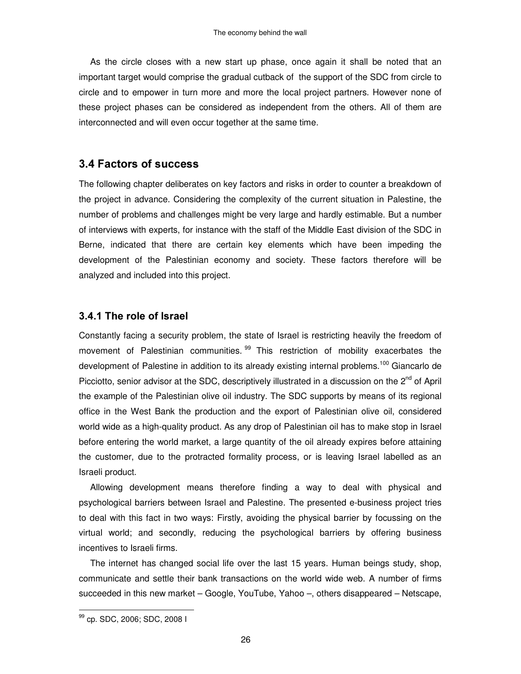As the circle closes with a new start up phase, once again it shall be noted that an important target would comprise the gradual cutback of the support of the SDC from circle to circle and to empower in turn more and more the local project partners. However none of these project phases can be considered as independent from the others. All of them are interconnected and will even occur together at the same time.

## 3.4 Factors of success

The following chapter deliberates on key factors and risks in order to counter a breakdown of the project in advance. Considering the complexity of the current situation in Palestine, the number of problems and challenges might be very large and hardly estimable. But a number of interviews with experts, for instance with the staff of the Middle East division of the SDC in Berne, indicated that there are certain key elements which have been impeding the development of the Palestinian economy and society. These factors therefore will be analyzed and included into this project.

#### 3.4.1 The role of Israel

Constantly facing a security problem, the state of Israel is restricting heavily the freedom of movement of Palestinian communities.<sup>99</sup> This restriction of mobility exacerbates the development of Palestine in addition to its already existing internal problems.<sup>100</sup> Giancarlo de Picciotto, senior advisor at the SDC, descriptively illustrated in a discussion on the 2<sup>nd</sup> of April the example of the Palestinian olive oil industry. The SDC supports by means of its regional office in the West Bank the production and the export of Palestinian olive oil, considered world wide as a high-quality product. As any drop of Palestinian oil has to make stop in Israel before entering the world market, a large quantity of the oil already expires before attaining the customer, due to the protracted formality process, or is leaving Israel labelled as an Israeli product.

Allowing development means therefore finding a way to deal with physical and psychological barriers between Israel and Palestine. The presented e-business project tries to deal with this fact in two ways: Firstly, avoiding the physical barrier by focussing on the virtual world; and secondly, reducing the psychological barriers by offering business incentives to Israeli firms.

The internet has changed social life over the last 15 years. Human beings study, shop, communicate and settle their bank transactions on the world wide web. A number of firms succeeded in this new market – Google, YouTube, Yahoo –, others disappeared – Netscape,

 99 cp. SDC, 2006; SDC, 2008 I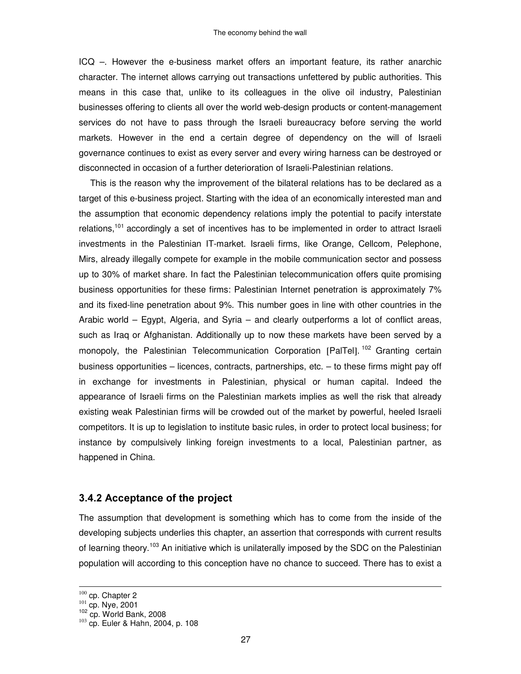ICQ –. However the e-business market offers an important feature, its rather anarchic character. The internet allows carrying out transactions unfettered by public authorities. This means in this case that, unlike to its colleagues in the olive oil industry, Palestinian businesses offering to clients all over the world web-design products or content-management services do not have to pass through the Israeli bureaucracy before serving the world markets. However in the end a certain degree of dependency on the will of Israeli governance continues to exist as every server and every wiring harness can be destroyed or disconnected in occasion of a further deterioration of Israeli-Palestinian relations.

This is the reason why the improvement of the bilateral relations has to be declared as a target of this e-business project. Starting with the idea of an economically interested man and the assumption that economic dependency relations imply the potential to pacify interstate relations,<sup>101</sup> accordingly a set of incentives has to be implemented in order to attract Israeli investments in the Palestinian IT-market. Israeli firms, like Orange, Cellcom, Pelephone, Mirs, already illegally compete for example in the mobile communication sector and possess up to 30% of market share. In fact the Palestinian telecommunication offers quite promising business opportunities for these firms: Palestinian Internet penetration is approximately 7% and its fixed-line penetration about 9%. This number goes in line with other countries in the Arabic world – Egypt, Algeria, and Syria – and clearly outperforms a lot of conflict areas, such as Iraq or Afghanistan. Additionally up to now these markets have been served by a monopoly, the Palestinian Telecommunication Corporation [PalTel].<sup>102</sup> Granting certain business opportunities – licences, contracts, partnerships, etc. – to these firms might pay off in exchange for investments in Palestinian, physical or human capital. Indeed the appearance of Israeli firms on the Palestinian markets implies as well the risk that already existing weak Palestinian firms will be crowded out of the market by powerful, heeled Israeli competitors. It is up to legislation to institute basic rules, in order to protect local business; for instance by compulsively linking foreign investments to a local, Palestinian partner, as happened in China.

#### 3.4.2 Acceptance of the project

The assumption that development is something which has to come from the inside of the developing subjects underlies this chapter, an assertion that corresponds with current results of learning theory.<sup>103</sup> An initiative which is unilaterally imposed by the SDC on the Palestinian population will according to this conception have no chance to succeed. There has to exist a

 $\frac{100}{101}$  cp. Chapter 2<br> $\frac{101}{102}$  cp. Nye, 2001<br> $\frac{102}{102}$  cp. World Bank, 2008

 $103$  cp. Euler & Hahn, 2004, p. 108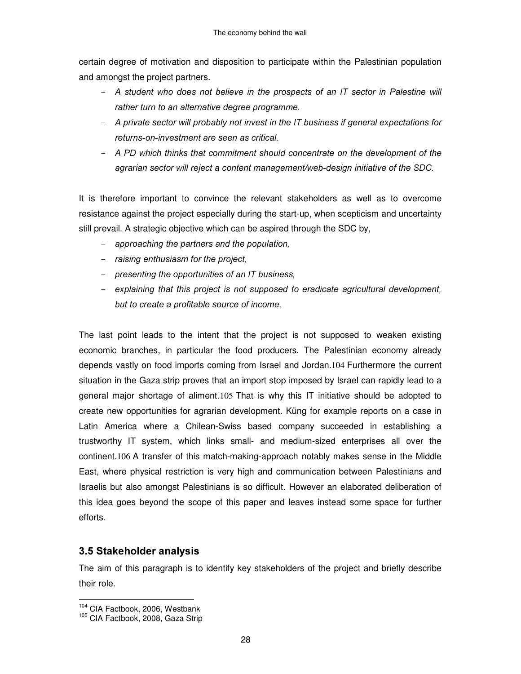certain degree of motivation and disposition to participate within the Palestinian population and amongst the project partners.

- A student who does not believe in the prospects of an IT sector in Palestine will rather turn to an alternative degree programme.
- A private sector will probably not invest in the IT business if general expectations for returns-on-investment are seen as critical.
- A PD which thinks that commitment should concentrate on the development of the agrarian sector will reject a content management/web-design initiative of the SDC.

It is therefore important to convince the relevant stakeholders as well as to overcome resistance against the project especially during the start-up, when scepticism and uncertainty still prevail. A strategic objective which can be aspired through the SDC by,

- approaching the partners and the population,
- $-$  raising enthusiasm for the project,
- presenting the opportunities of an IT business,
- explaining that this project is not supposed to eradicate agricultural development. but to create a profitable source of income.

The last point leads to the intent that the project is not supposed to weaken existing economic branches, in particular the food producers. The Palestinian economy already depends vastly on food imports coming from Israel and Jordan.104 Furthermore the current situation in the Gaza strip proves that an import stop imposed by Israel can rapidly lead to a general major shortage of aliment.105 That is why this IT initiative should be adopted to create new opportunities for agrarian development. Küng for example reports on a case in Latin America where a Chilean-Swiss based company succeeded in establishing a trustworthy IT system, which links small- and medium-sized enterprises all over the continent.106 A transfer of this match-making-approach notably makes sense in the Middle East, where physical restriction is very high and communication between Palestinians and Israelis but also amongst Palestinians is so difficult. However an elaborated deliberation of this idea goes beyond the scope of this paper and leaves instead some space for further efforts.

## 3.5 Stakeholder analysis

The aim of this paragraph is to identify key stakeholders of the project and briefly describe their role.

 $\overline{a}$  $104$  CIA Factbook, 2006, Westbank

<sup>&</sup>lt;sup>105</sup> CIA Factbook, 2008, Gaza Strip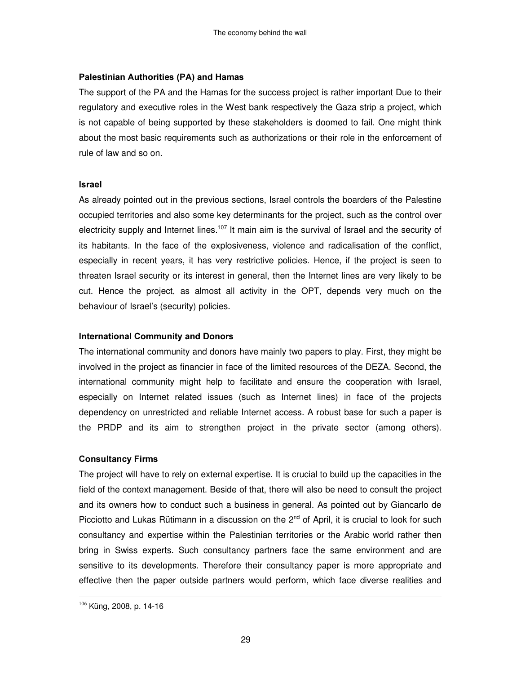#### Palestinian Authorities (PA) and Hamas

The support of the PA and the Hamas for the success project is rather important Due to their regulatory and executive roles in the West bank respectively the Gaza strip a project, which is not capable of being supported by these stakeholders is doomed to fail. One might think about the most basic requirements such as authorizations or their role in the enforcement of rule of law and so on.

#### **Israel**

As already pointed out in the previous sections, Israel controls the boarders of the Palestine occupied territories and also some key determinants for the project, such as the control over electricity supply and Internet lines.<sup>107</sup> It main aim is the survival of Israel and the security of its habitants. In the face of the explosiveness, violence and radicalisation of the conflict, especially in recent years, it has very restrictive policies. Hence, if the project is seen to threaten Israel security or its interest in general, then the Internet lines are very likely to be cut. Hence the project, as almost all activity in the OPT, depends very much on the behaviour of Israel's (security) policies.

#### International Community and Donors

The international community and donors have mainly two papers to play. First, they might be involved in the project as financier in face of the limited resources of the DEZA. Second, the international community might help to facilitate and ensure the cooperation with Israel, especially on Internet related issues (such as Internet lines) in face of the projects dependency on unrestricted and reliable Internet access. A robust base for such a paper is the PRDP and its aim to strengthen project in the private sector (among others).

#### **Consultancy Firms**

The project will have to rely on external expertise. It is crucial to build up the capacities in the field of the context management. Beside of that, there will also be need to consult the project and its owners how to conduct such a business in general. As pointed out by Giancarlo de Picciotto and Lukas Rütimann in a discussion on the 2<sup>nd</sup> of April, it is crucial to look for such consultancy and expertise within the Palestinian territories or the Arabic world rather then bring in Swiss experts. Such consultancy partners face the same environment and are sensitive to its developments. Therefore their consultancy paper is more appropriate and effective then the paper outside partners would perform, which face diverse realities and

 $\ddot{\phantom{a}}$ 

<sup>&</sup>lt;sup>106</sup> Küng, 2008, p. 14-16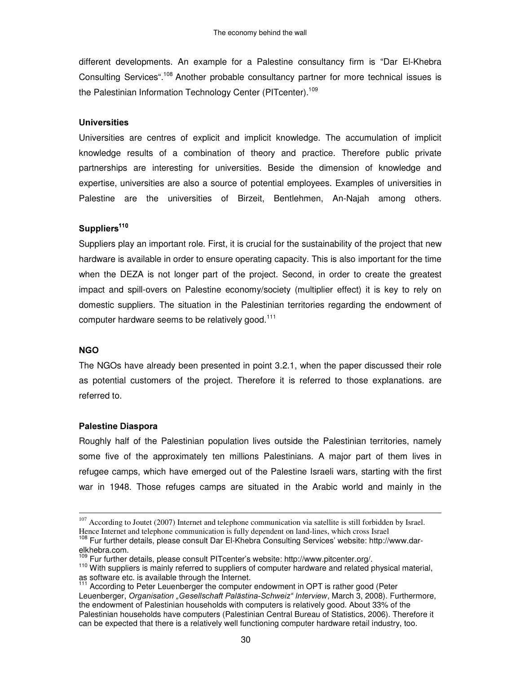different developments. An example for a Palestine consultancy firm is "Dar El-Khebra Consulting Services".<sup>108</sup> Another probable consultancy partner for more technical issues is the Palestinian Information Technology Center (PITcenter).<sup>109</sup>

#### Universities

Universities are centres of explicit and implicit knowledge. The accumulation of implicit knowledge results of a combination of theory and practice. Therefore public private partnerships are interesting for universities. Beside the dimension of knowledge and expertise, universities are also a source of potential employees. Examples of universities in Palestine are the universities of Birzeit, Bentlehmen, An-Najah among others.

#### Suppliers<sup>110</sup>

Suppliers play an important role. First, it is crucial for the sustainability of the project that new hardware is available in order to ensure operating capacity. This is also important for the time when the DEZA is not longer part of the project. Second, in order to create the greatest impact and spill-overs on Palestine economy/society (multiplier effect) it is key to rely on domestic suppliers. The situation in the Palestinian territories regarding the endowment of computer hardware seems to be relatively good.<sup>111</sup>

#### **NGO**

 $\overline{a}$ 

The NGOs have already been presented in point 3.2.1, when the paper discussed their role as potential customers of the project. Therefore it is referred to those explanations. are referred to.

#### Palestine Diaspora

Roughly half of the Palestinian population lives outside the Palestinian territories, namely some five of the approximately ten millions Palestinians. A major part of them lives in refugee camps, which have emerged out of the Palestine Israeli wars, starting with the first war in 1948. Those refuges camps are situated in the Arabic world and mainly in the

 $107$  According to Joutet (2007) Internet and telephone communication via satellite is still forbidden by Israel. Hence Internet and telephone communication is fully dependent on land-lines, which cross Israel

<sup>&</sup>lt;sup>108</sup> Fur further details, please consult Dar El-Khebra Consulting Services' website: http://www.darelkhebra.com.

<sup>109</sup> Fur further details, please consult PITcenter's website: http://www.pitcenter.org/.

<sup>&</sup>lt;sup>110</sup> With suppliers is mainly referred to suppliers of computer hardware and related physical material, as software etc. is available through the Internet.

<sup>&</sup>lt;sup>111</sup> According to Peter Leuenberger the computer endowment in OPT is rather good (Peter Leuenberger, Organisation "Gesellschaft Palästina-Schweiz" Interview, March 3, 2008). Furthermore, the endowment of Palestinian households with computers is relatively good. About 33% of the Palestinian households have computers (Palestinian Central Bureau of Statistics, 2006). Therefore it can be expected that there is a relatively well functioning computer hardware retail industry, too.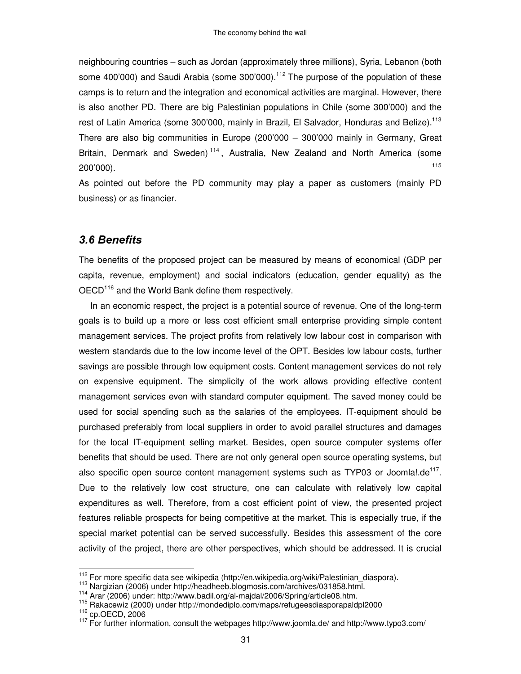neighbouring countries – such as Jordan (approximately three millions), Syria, Lebanon (both some 400'000) and Saudi Arabia (some 300'000).<sup>112</sup> The purpose of the population of these camps is to return and the integration and economical activities are marginal. However, there is also another PD. There are big Palestinian populations in Chile (some 300'000) and the rest of Latin America (some 300'000, mainly in Brazil, El Salvador, Honduras and Belize).<sup>113</sup> There are also big communities in Europe (200'000 – 300'000 mainly in Germany, Great Britain, Denmark and Sweden)<sup>114</sup>, Australia, New Zealand and North America (some 200'000). 115

As pointed out before the PD community may play a paper as customers (mainly PD business) or as financier.

## 3.6 Benefits

The benefits of the proposed project can be measured by means of economical (GDP per capita, revenue, employment) and social indicators (education, gender equality) as the OECD<sup>116</sup> and the World Bank define them respectively.

In an economic respect, the project is a potential source of revenue. One of the long-term goals is to build up a more or less cost efficient small enterprise providing simple content management services. The project profits from relatively low labour cost in comparison with western standards due to the low income level of the OPT. Besides low labour costs, further savings are possible through low equipment costs. Content management services do not rely on expensive equipment. The simplicity of the work allows providing effective content management services even with standard computer equipment. The saved money could be used for social spending such as the salaries of the employees. IT-equipment should be purchased preferably from local suppliers in order to avoid parallel structures and damages for the local IT-equipment selling market. Besides, open source computer systems offer benefits that should be used. There are not only general open source operating systems, but also specific open source content management systems such as TYP03 or Joomla!.de<sup>117</sup>. Due to the relatively low cost structure, one can calculate with relatively low capital expenditures as well. Therefore, from a cost efficient point of view, the presented project features reliable prospects for being competitive at the market. This is especially true, if the special market potential can be served successfully. Besides this assessment of the core activity of the project, there are other perspectives, which should be addressed. It is crucial

116 cp.OECD, 2006

 112 For more specific data see wikipedia (http://en.wikipedia.org/wiki/Palestinian\_diaspora).

<sup>113</sup> Nargizian (2006) under http://headheeb.blogmosis.com/archives/031858.html.

<sup>114</sup> Arar (2006) under: http://www.badil.org/al-majdal/2006/Spring/article08.htm.

<sup>115</sup> Rakacewiz (2000) under http://mondediplo.com/maps/refugeesdiasporapaldpl2000

<sup>&</sup>lt;sup>117</sup> For further information, consult the webpages http://www.joomla.de/ and http://www.typo3.com/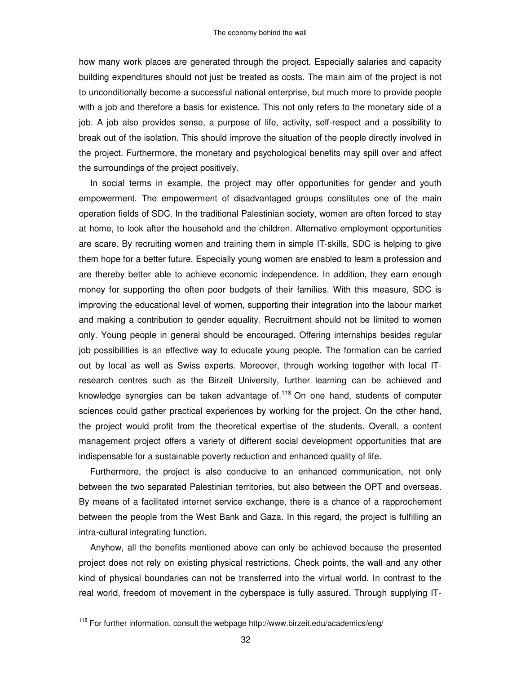how many work places are generated through the project. Especially salaries and capacity building expenditures should not just be treated as costs. The main aim of the project is not to unconditionally become a successful national enterprise, but much more to provide people with a job and therefore a basis for existence. This not only refers to the monetary side of a job. A job also provides sense, a purpose of life, activity, self-respect and a possibility to break out of the isolation. This should improve the situation of the people directly involved in the project. Furthermore, the monetary and psychological benefits may spill over and affect the surroundings of the project positively.

In social terms in example, the project may offer opportunities for gender and youth empowerment. The empowerment of disadvantaged groups constitutes one of the main operation fields of SDC. In the traditional Palestinian society, women are often forced to stay at home, to look after the household and the children. Alternative employment opportunities are scare. By recruiting women and training them in simple IT-skills, SDC is helping to give them hope for a better future. Especially young women are enabled to learn a profession and are thereby better able to achieve economic independence. In addition, they earn enough money for supporting the often poor budgets of their families. With this measure, SDC is improving the educational level of women, supporting their integration into the labour market and making a contribution to gender equality. Recruitment should not be limited to women only. Young people in general should be encouraged. Offering internships besides regular job possibilities is an effective way to educate young people. The formation can be carried out by local as well as Swiss experts. Moreover, through working together with local ITresearch centres such as the Birzeit University, further learning can be achieved and knowledge synergies can be taken advantage of.<sup>118</sup> On one hand, students of computer sciences could gather practical experiences by working for the project. On the other hand, the project would profit from the theoretical expertise of the students. Overall, a content management project offers a variety of different social development opportunities that are indispensable for a sustainable poverty reduction and enhanced quality of life.

Furthermore, the project is also conducive to an enhanced communication, not only between the two separated Palestinian territories, but also between the OPT and overseas. By means of a facilitated internet service exchange, there is a chance of a rapprochement between the people from the West Bank and Gaza. In this regard, the project is fulfilling an intra-cultural integrating function.

Anyhow, all the benefits mentioned above can only be achieved because the presented project does not rely on existing physical restrictions. Check points, the wall and any other kind of physical boundaries can not be transferred into the virtual world. In contrast to the real world, freedom of movement in the cyberspace is fully assured. Through supplying IT-

 118 For further information, consult the webpage http://www.birzeit.edu/academics/eng/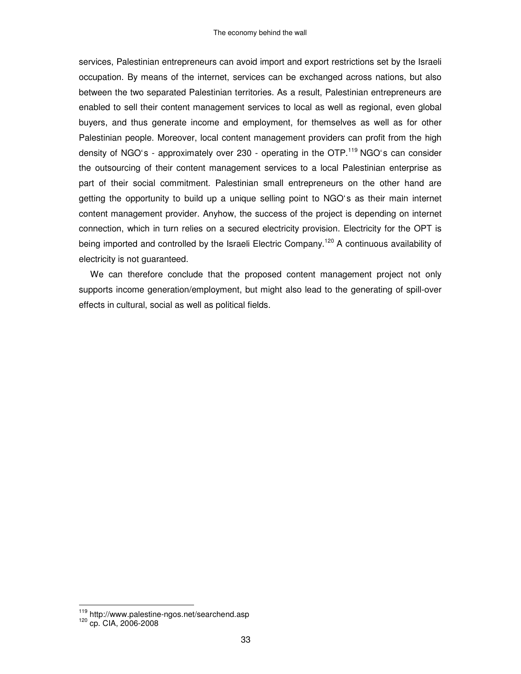services, Palestinian entrepreneurs can avoid import and export restrictions set by the Israeli occupation. By means of the internet, services can be exchanged across nations, but also between the two separated Palestinian territories. As a result, Palestinian entrepreneurs are enabled to sell their content management services to local as well as regional, even global buyers, and thus generate income and employment, for themselves as well as for other Palestinian people. Moreover, local content management providers can profit from the high density of NGO's - approximately over 230 - operating in the OTP.<sup>119</sup> NGO's can consider the outsourcing of their content management services to a local Palestinian enterprise as part of their social commitment. Palestinian small entrepreneurs on the other hand are getting the opportunity to build up a unique selling point to NGO's as their main internet content management provider. Anyhow, the success of the project is depending on internet connection, which in turn relies on a secured electricity provision. Electricity for the OPT is being imported and controlled by the Israeli Electric Company.<sup>120</sup> A continuous availability of electricity is not guaranteed.

We can therefore conclude that the proposed content management project not only supports income generation/employment, but might also lead to the generating of spill-over effects in cultural, social as well as political fields.

<sup>1&</sup>lt;sup>19</sup> http://www.palestine-ngos.net/searchend.asp<br><sup>120</sup> cp. CIA, 2006-2008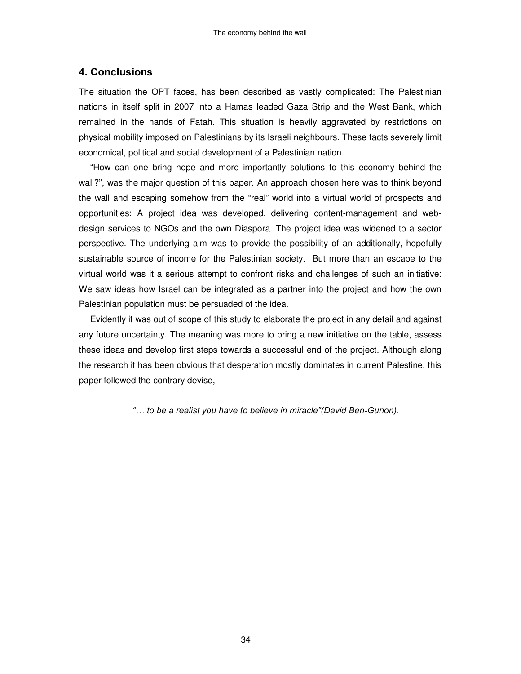#### 4. Conclusions

The situation the OPT faces, has been described as vastly complicated: The Palestinian nations in itself split in 2007 into a Hamas leaded Gaza Strip and the West Bank, which remained in the hands of Fatah. This situation is heavily aggravated by restrictions on physical mobility imposed on Palestinians by its Israeli neighbours. These facts severely limit economical, political and social development of a Palestinian nation.

"How can one bring hope and more importantly solutions to this economy behind the wall?", was the major question of this paper. An approach chosen here was to think beyond the wall and escaping somehow from the "real" world into a virtual world of prospects and opportunities: A project idea was developed, delivering content-management and webdesign services to NGOs and the own Diaspora. The project idea was widened to a sector perspective. The underlying aim was to provide the possibility of an additionally, hopefully sustainable source of income for the Palestinian society. But more than an escape to the virtual world was it a serious attempt to confront risks and challenges of such an initiative: We saw ideas how Israel can be integrated as a partner into the project and how the own Palestinian population must be persuaded of the idea.

Evidently it was out of scope of this study to elaborate the project in any detail and against any future uncertainty. The meaning was more to bring a new initiative on the table, assess these ideas and develop first steps towards a successful end of the project. Although along the research it has been obvious that desperation mostly dominates in current Palestine, this paper followed the contrary devise,

"... to be a realist you have to believe in miracle" (David Ben-Gurion).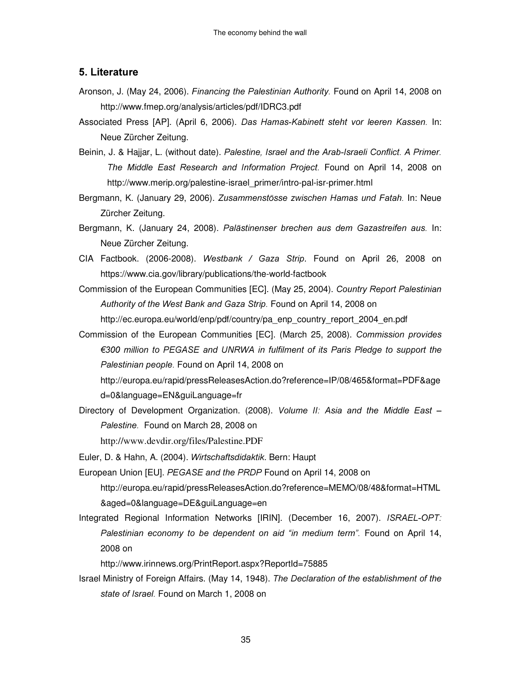#### 5. Literature

- Aronson, J. (May 24, 2006). *Financing the Palestinian Authority*. Found on April 14, 2008 on http://www.fmep.org/analysis/articles/pdf/IDRC3.pdf
- Associated Press [AP]. (April 6, 2006). Das Hamas-Kabinett steht vor leeren Kassen. In: Neue Zürcher Zeitung.
- Beinin, J. & Hajjar, L. (without date). Palestine, Israel and the Arab-Israeli Conflict. A Primer. The Middle East Research and Information Project. Found on April 14, 2008 on http://www.merip.org/palestine-israel\_primer/intro-pal-isr-primer.html
- Bergmann, K. (January 29, 2006). Zusammenstösse zwischen Hamas und Fatah. In: Neue Zürcher Zeitung.
- Bergmann, K. (January 24, 2008). Palästinenser brechen aus dem Gazastreifen aus. In: Neue Zürcher Zeitung.
- CIA Factbook. (2006-2008). Westbank / Gaza Strip. Found on April 26, 2008 on https://www.cia.gov/library/publications/the-world-factbook
- Commission of the European Communities [EC]. (May 25, 2004). Country Report Palestinian Authority of the West Bank and Gaza Strip. Found on April 14, 2008 on http://ec.europa.eu/world/enp/pdf/country/pa\_enp\_country\_report\_2004\_en.pdf
- Commission of the European Communities [EC]. (March 25, 2008). Commission provides  $\epsilon$ 300 million to PEGASE and UNRWA in fulfilment of its Paris Pledge to support the Palestinian people. Found on April 14, 2008 on http://europa.eu/rapid/pressReleasesAction.do?reference=IP/08/465&format=PDF&age

d=0&language=EN&guiLanguage=fr

Directory of Development Organization. (2008). Volume II: Asia and the Middle East -Palestine. Found on March 28, 2008 on

http://www.devdir.org/files/Palestine.PDF

Euler, D. & Hahn, A. (2004). Wirtschaftsdidaktik. Bern: Haupt

- European Union [EU]. PEGASE and the PRDP Found on April 14, 2008 on http://europa.eu/rapid/pressReleasesAction.do?reference=MEMO/08/48&format=HTML &aged=0&language=DE&guiLanguage=en
- Integrated Regional Information Networks [IRIN]. (December 16, 2007). ISRAEL-OPT: Palestinian economy to be dependent on aid "in medium term". Found on April 14, 2008 on

http://www.irinnews.org/PrintReport.aspx?ReportId=75885

Israel Ministry of Foreign Affairs. (May 14, 1948). The Declaration of the establishment of the state of Israel. Found on March 1, 2008 on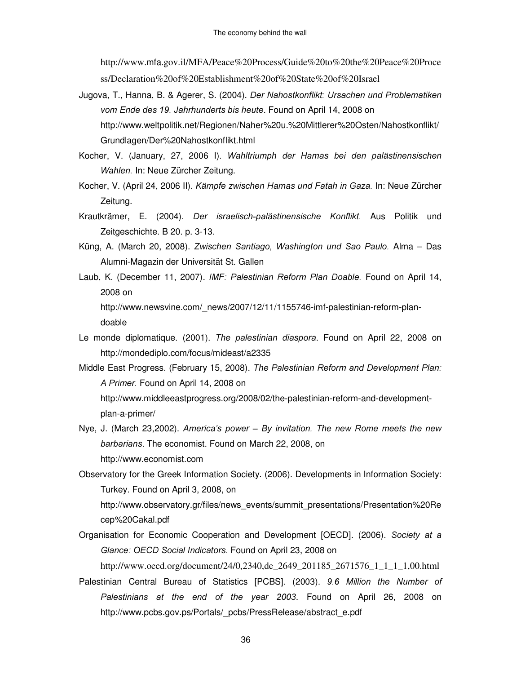http://www.mfa.gov.il/MFA/Peace%20Process/Guide%20to%20the%20Peace%20Proce

ss/Declaration%20of%20Establishment%20of%20State%20of%20Israel

- Jugova, T., Hanna, B. & Agerer, S. (2004). Der Nahostkonflikt: Ursachen und Problematiken vom Ende des 19. Jahrhunderts bis heute. Found on April 14, 2008 on http://www.weltpolitik.net/Regionen/Naher%20u.%20Mittlerer%20Osten/Nahostkonflikt/ Grundlagen/Der%20Nahostkonflikt.html
- Kocher, V. (January, 27, 2006 I). Wahltriumph der Hamas bei den palästinensischen Wahlen. In: Neue Zürcher Zeitung.
- Kocher, V. (April 24, 2006 II). Kämpfe zwischen Hamas und Fatah in Gaza. In: Neue Zürcher Zeitung.
- Krautkrämer, E. (2004). Der israelisch-palästinensische Konflikt. Aus Politik und Zeitgeschichte. B 20. p. 3-13.
- Küng, A. (March 20, 2008). Zwischen Santiago, Washington und Sao Paulo. Alma Das Alumni-Magazin der Universität St. Gallen
- Laub, K. (December 11, 2007). IMF: Palestinian Reform Plan Doable. Found on April 14, 2008 on

http://www.newsvine.com/\_news/2007/12/11/1155746-imf-palestinian-reform-plandoable

- Le monde diplomatique. (2001). The palestinian diaspora. Found on April 22, 2008 on http://mondediplo.com/focus/mideast/a2335
- Middle East Progress. (February 15, 2008). The Palestinian Reform and Development Plan: A Primer. Found on April 14, 2008 on

http://www.middleeastprogress.org/2008/02/the-palestinian-reform-and-developmentplan-a-primer/

- Nye, J. (March 23,2002). America's power  $-$  By invitation. The new Rome meets the new barbarians. The economist. Found on March 22, 2008, on http://www.economist.com
- Observatory for the Greek Information Society. (2006). Developments in Information Society: Turkey. Found on April 3, 2008, on

http://www.observatory.gr/files/news\_events/summit\_presentations/Presentation%20Re cep%20Cakal.pdf

Organisation for Economic Cooperation and Development [OECD]. (2006). Society at a Glance: OECD Social Indicators. Found on April 23, 2008 on

http://www.oecd.org/document/24/0,2340,de\_2649\_201185\_2671576\_1\_1\_1\_1,00.html

Palestinian Central Bureau of Statistics [PCBS]. (2003). 9.6 Million the Number of Palestinians at the end of the year 2003. Found on April 26, 2008 on http://www.pcbs.gov.ps/Portals/\_pcbs/PressRelease/abstract\_e.pdf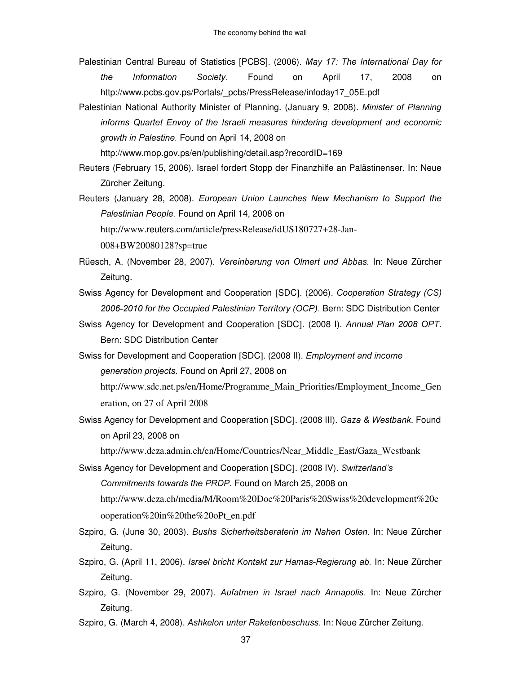- Palestinian Central Bureau of Statistics [PCBS]. (2006). May 17: The International Day for *the Information Society.* Found on April 17, 2008 on http://www.pcbs.gov.ps/Portals/\_pcbs/PressRelease/infoday17\_05E.pdf
- Palestinian National Authority Minister of Planning. (January 9, 2008). Minister of Planning informs Quartet Envoy of the Israeli measures hindering development and economic growth in Palestine. Found on April 14, 2008 on

http://www.mop.gov.ps/en/publishing/detail.asp?recordID=169

- Reuters (February 15, 2006). Israel fordert Stopp der Finanzhilfe an Palästinenser. In: Neue Zürcher Zeitung.
- Reuters (January 28, 2008). *European Union Launches New Mechanism to Support the* Palestinian People. Found on April 14, 2008 on

http://www.reuters.com/article/pressRelease/idUS180727+28-Jan-

008+BW20080128?sp=true

- Rüesch, A. (November 28, 2007). Vereinbarung von Olmert und Abbas. In: Neue Zürcher Zeitung.
- Swiss Agency for Development and Cooperation [SDC]. (2006). Cooperation Strategy (CS) 2006-2010 for the Occupied Palestinian Territory (OCP). Bern: SDC Distribution Center
- Swiss Agency for Development and Cooperation [SDC]. (2008 I). Annual Plan 2008 OPT. Bern: SDC Distribution Center
- Swiss for Development and Cooperation [SDC]. (2008 II). *Employment and income* generation projects. Found on April 27, 2008 on

http://www.sdc.net.ps/en/Home/Programme\_Main\_Priorities/Employment\_Income\_Gen eration, on 27 of April 2008

Swiss Agency for Development and Cooperation [SDC]. (2008 III). Gaza & Westbank. Found on April 23, 2008 on

http://www.deza.admin.ch/en/Home/Countries/Near\_Middle\_East/Gaza\_Westbank

Swiss Agency for Development and Cooperation [SDC]. (2008 IV). Switzerland's Commitments towards the PRDP. Found on March 25, 2008 on http://www.deza.ch/media/M/Room%20Doc%20Paris%20Swiss%20development%20c

ooperation%20in%20the%20oPt\_en.pdf

- Szpiro, G. (June 30, 2003). Bushs Sicherheitsberaterin im Nahen Osten. In: Neue Zürcher Zeitung.
- Szpiro, G. (April 11, 2006). Israel bricht Kontakt zur Hamas-Regierung ab. In: Neue Zürcher Zeitung.
- Szpiro, G. (November 29, 2007). Aufatmen in Israel nach Annapolis. In: Neue Zürcher Zeitung.
- Szpiro, G. (March 4, 2008). Ashkelon unter Raketenbeschuss. In: Neue Zürcher Zeitung.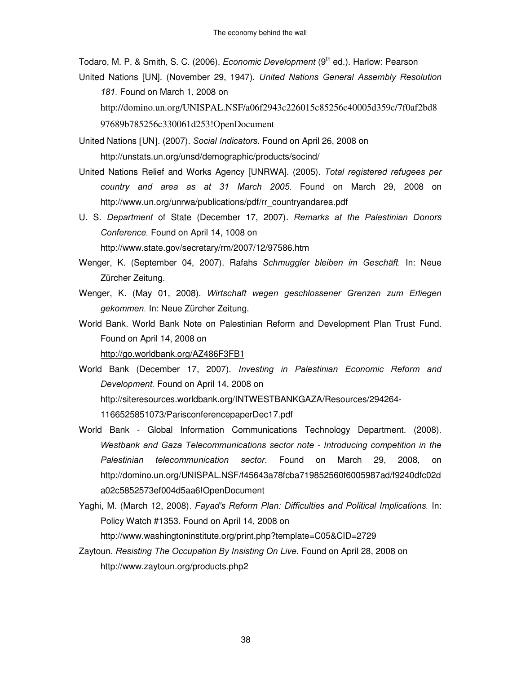Todaro, M. P. & Smith, S. C. (2006). *Economic Development* (9<sup>th</sup> ed.). Harlow: Pearson

United Nations [UN]. (November 29, 1947). United Nations General Assembly Resolution 181. Found on March 1, 2008 on http://domino.un.org/UNISPAL.NSF/a06f2943c226015c85256c40005d359c/7f0af2bd8

97689b785256c330061d253!OpenDocument

United Nations [UN]. (2007). Social Indicators. Found on April 26, 2008 on http://unstats.un.org/unsd/demographic/products/socind/

United Nations Relief and Works Agency [UNRWA]. (2005). Total registered refugees per country and area as at 31 March 2005. Found on March 29, 2008 on http://www.un.org/unrwa/publications/pdf/rr\_countryandarea.pdf

U. S. Department of State (December 17, 2007). Remarks at the Palestinian Donors Conference. Found on April 14, 1008 on

http://www.state.gov/secretary/rm/2007/12/97586.htm

- Wenger, K. (September 04, 2007). Rafahs Schmuggler bleiben im Geschäft. In: Neue Zürcher Zeitung.
- Wenger, K. (May 01, 2008). Wirtschaft wegen geschlossener Grenzen zum Erliegen gekommen. In: Neue Zürcher Zeitung.

World Bank. World Bank Note on Palestinian Reform and Development Plan Trust Fund. Found on April 14, 2008 on

http://go.worldbank.org/AZ486F3FB1

World Bank (December 17, 2007). Investing in Palestinian Economic Reform and Development. Found on April 14, 2008 on http://siteresources.worldbank.org/INTWESTBANKGAZA/Resources/294264-

1166525851073/ParisconferencepaperDec17.pdf

- World Bank Global Information Communications Technology Department. (2008). Westbank and Gaza Telecommunications sector note - Introducing competition in the Palestinian telecommunication sector. Found on March 29, 2008, on http://domino.un.org/UNISPAL.NSF/f45643a78fcba719852560f6005987ad/f9240dfc02d a02c5852573ef004d5aa6!OpenDocument
- Yaghi, M. (March 12, 2008). *Fayad's Reform Plan: Difficulties and Political Implications.* In: Policy Watch #1353. Found on April 14, 2008 on

http://www.washingtoninstitute.org/print.php?template=C05&CID=2729

Zaytoun. Resisting The Occupation By Insisting On Live. Found on April 28, 2008 on http://www.zaytoun.org/products.php2